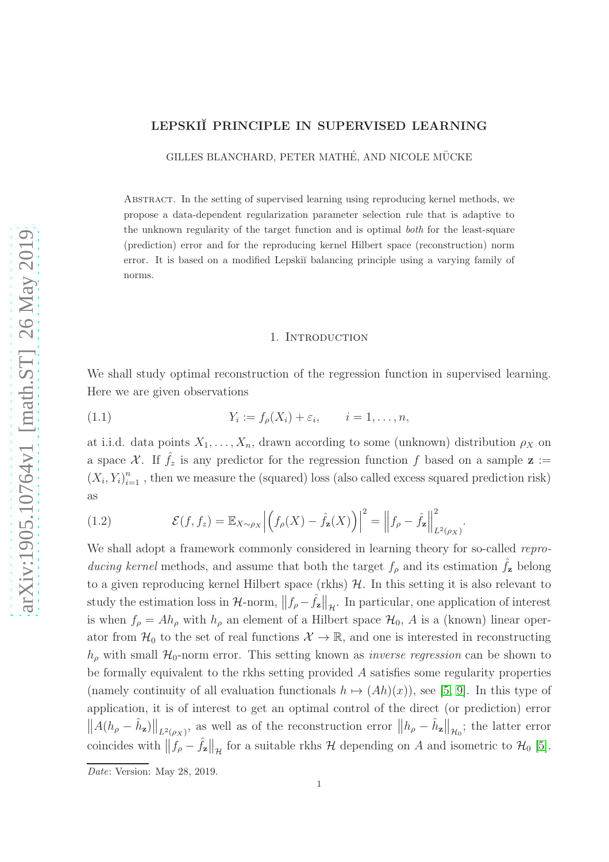# LEPSKIĬ PRINCIPLE IN SUPERVISED LEARNING

GILLES BLANCHARD, PETER MATHÉ, AND NICOLE MÜCKE

Abstract. In the setting of supervised learning using reproducing kernel methods, we propose a data-dependent regularization parameter selection rule that is adaptive to the unknown regularity of the target function and is optimal *both* for the least-square (prediction) error and for the reproducing kernel Hilbert space (reconstruction) norm error. It is based on a modified Lepski˘ı balancing principle using a varying family of norms.

#### <span id="page-0-0"></span>1. INTRODUCTION

We shall study optimal reconstruction of the regression function in supervised learning. Here we are given observations

$$
(1.1) \t Y_i := f_{\rho}(X_i) + \varepsilon_i, \t i = 1, \ldots, n,
$$

at i.i.d. data points  $X_1, \ldots, X_n$ , drawn according to some (unknown) distribution  $\rho_X$  on a space X. If  $\hat{f}_z$  is any predictor for the regression function f based on a sample  $\mathbf{z} :=$  $(X_i, Y_i)_{i=1}^n$ , then we measure the (squared) loss (also called excess squared prediction risk) as

(1.2) 
$$
\mathcal{E}(f, f_z) = \mathbb{E}_{X \sim \rho_X} \left| \left( f_{\rho}(X) - \hat{f}_{\mathbf{z}}(X) \right) \right|^2 = \left\| f_{\rho} - \hat{f}_{\mathbf{z}} \right\|_{L^2(\rho_X)}^2.
$$

We shall adopt a framework commonly considered in learning theory for so-called reproducing kernel methods, and assume that both the target  $f<sub>o</sub>$  and its estimation  $f<sub>z</sub>$  belong to a given reproducing kernel Hilbert space (rkhs)  $H$ . In this setting it is also relevant to study the estimation loss in  $\mathcal{H}$ -norm,  $||f_{\rho} - \hat{f}_{z}||_{\mathcal{H}}$ . In particular, one application of interest is when  $f_{\rho} = Ah_{\rho}$  with  $h_{\rho}$  an element of a Hilbert space  $\mathcal{H}_0$ , A is a (known) linear operator from  $\mathcal{H}_0$  to the set of real functions  $\mathcal{X} \to \mathbb{R}$ , and one is interested in reconstructing  $h_{\rho}$  with small  $\mathcal{H}_0$ -norm error. This setting known as *inverse regression* can be shown to be formally equivalent to the rkhs setting provided A satisfies some regularity properties (namely continuity of all evaluation functionals  $h \mapsto (Ah)(x)$ ), see [\[5,](#page-26-0) [9\]](#page-26-1). In this type of application, it is of interest to get an optimal control of the direct (or prediction) error  $||A(h_{\rho} - \hat{h}_{z})||_{L^{2}(\rho_{X})}$ , as well as of the reconstruction error  $||h_{\rho} - \hat{h}_{z}||_{\mathcal{H}_{0}}$ ; the latter error coincides with  $||f_{\rho} - \hat{f}_{z}||_{\mathcal{H}}$  for a suitable rkhs  $\mathcal{H}$  depending on A and isometric to  $\mathcal{H}_{0}$  [\[5\]](#page-26-0).

*Date*: Version: May 28, 2019.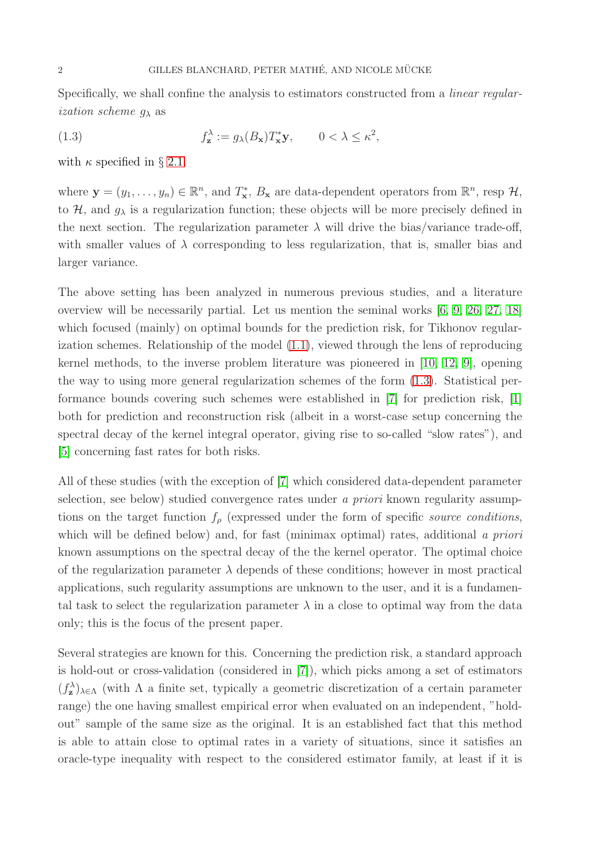Specifically, we shall confine the analysis to estimators constructed from a linear regular*ization scheme*  $q_{\lambda}$  as

<span id="page-1-0"></span>(1.3) 
$$
f_{\mathbf{z}}^{\lambda} := g_{\lambda}(B_{\mathbf{x}})T_{\mathbf{x}}^{*}\mathbf{y}, \qquad 0 < \lambda \leq \kappa^{2},
$$

with  $\kappa$  specified in § [2.1.](#page-3-0)

where  $\mathbf{y} = (y_1, \dots, y_n) \in \mathbb{R}^n$ , and  $T^*_{\mathbf{x}}, B_{\mathbf{x}}$  are data-dependent operators from  $\mathbb{R}^n$ , resp  $\mathcal{H}$ , to  $\mathcal{H}$ , and  $g_{\lambda}$  is a regularization function; these objects will be more precisely defined in the next section. The regularization parameter  $\lambda$  will drive the bias/variance trade-off, with smaller values of  $\lambda$  corresponding to less regularization, that is, smaller bias and larger variance.

The above setting has been analyzed in numerous previous studies, and a literature overview will be necessarily partial. Let us mention the seminal works [\[6,](#page-26-2) [9,](#page-26-1) [26,](#page-27-0) [27,](#page-27-1) [18\]](#page-27-2) which focused (mainly) on optimal bounds for the prediction risk, for Tikhonov regularization schemes. Relationship of the model [\(1.1\)](#page-0-0), viewed through the lens of reproducing kernel methods, to the inverse problem literature was pioneered in [\[10,](#page-27-3) [12,](#page-27-4) [9\]](#page-26-1), opening the way to using more general regularization schemes of the form [\(1.3\)](#page-1-0). Statistical performance bounds covering such schemes were established in [\[7\]](#page-26-3) for prediction risk, [\[1\]](#page-26-4) both for prediction and reconstruction risk (albeit in a worst-case setup concerning the spectral decay of the kernel integral operator, giving rise to so-called "slow rates"), and [\[5\]](#page-26-0) concerning fast rates for both risks.

All of these studies (with the exception of [\[7\]](#page-26-3) which considered data-dependent parameter selection, see below) studied convergence rates under a *priori* known regularity assumptions on the target function  $f_{\rho}$  (expressed under the form of specific source conditions, which will be defined below) and, for fast (minimax optimal) rates, additional a priori known assumptions on the spectral decay of the the kernel operator. The optimal choice of the regularization parameter  $\lambda$  depends of these conditions; however in most practical applications, such regularity assumptions are unknown to the user, and it is a fundamental task to select the regularization parameter  $\lambda$  in a close to optimal way from the data only; this is the focus of the present paper.

Several strategies are known for this. Concerning the prediction risk, a standard approach is hold-out or cross-validation (considered in [\[7\]](#page-26-3)), which picks among a set of estimators  $(f_{\mathbf{z}}^{\lambda})_{\lambda \in \Lambda}$  (with  $\Lambda$  a finite set, typically a geometric discretization of a certain parameter range) the one having smallest empirical error when evaluated on an independent, "holdout" sample of the same size as the original. It is an established fact that this method is able to attain close to optimal rates in a variety of situations, since it satisfies an oracle-type inequality with respect to the considered estimator family, at least if it is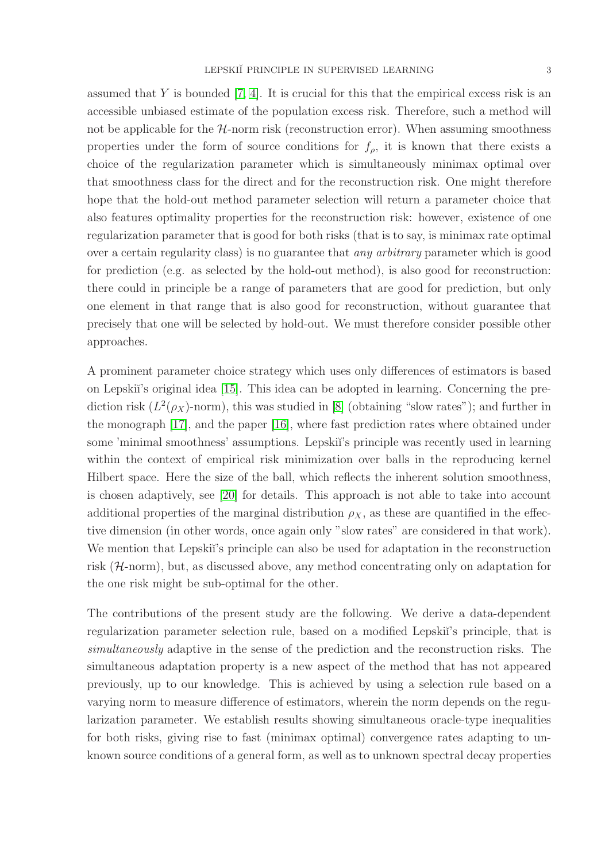assumed that Y is bounded  $[7, 4]$  $[7, 4]$ . It is crucial for this that the empirical excess risk is an accessible unbiased estimate of the population excess risk. Therefore, such a method will not be applicable for the  $H$ -norm risk (reconstruction error). When assuming smoothness properties under the form of source conditions for  $f_{\rho}$ , it is known that there exists a choice of the regularization parameter which is simultaneously minimax optimal over that smoothness class for the direct and for the reconstruction risk. One might therefore hope that the hold-out method parameter selection will return a parameter choice that also features optimality properties for the reconstruction risk: however, existence of one regularization parameter that is good for both risks (that is to say, is minimax rate optimal over a certain regularity class) is no guarantee that any arbitrary parameter which is good for prediction (e.g. as selected by the hold-out method), is also good for reconstruction: there could in principle be a range of parameters that are good for prediction, but only one element in that range that is also good for reconstruction, without guarantee that precisely that one will be selected by hold-out. We must therefore consider possible other approaches.

A prominent parameter choice strategy which uses only differences of estimators is based on Lepski˘ı's original idea [\[15\]](#page-27-5). This idea can be adopted in learning. Concerning the prediction risk  $(L^2(\rho_X)-\text{norm})$ , this was studied in [\[8\]](#page-26-6) (obtaining "slow rates"); and further in the monograph [\[17\]](#page-27-6), and the paper [\[16\]](#page-27-7), where fast prediction rates where obtained under some 'minimal smoothness' assumptions. Lepskiı's principle was recently used in learning within the context of empirical risk minimization over balls in the reproducing kernel Hilbert space. Here the size of the ball, which reflects the inherent solution smoothness, is chosen adaptively, see [\[20\]](#page-27-8) for details. This approach is not able to take into account additional properties of the marginal distribution  $\rho_X$ , as these are quantified in the effective dimension (in other words, once again only "slow rates" are considered in that work). We mention that Lepski<sup>'</sup>s principle can also be used for adaptation in the reconstruction risk (H-norm), but, as discussed above, any method concentrating only on adaptation for the one risk might be sub-optimal for the other.

The contributions of the present study are the following. We derive a data-dependent regularization parameter selection rule, based on a modified Lepski<sup>'</sup>'s principle, that is simultaneously adaptive in the sense of the prediction and the reconstruction risks. The simultaneous adaptation property is a new aspect of the method that has not appeared previously, up to our knowledge. This is achieved by using a selection rule based on a varying norm to measure difference of estimators, wherein the norm depends on the regularization parameter. We establish results showing simultaneous oracle-type inequalities for both risks, giving rise to fast (minimax optimal) convergence rates adapting to unknown source conditions of a general form, as well as to unknown spectral decay properties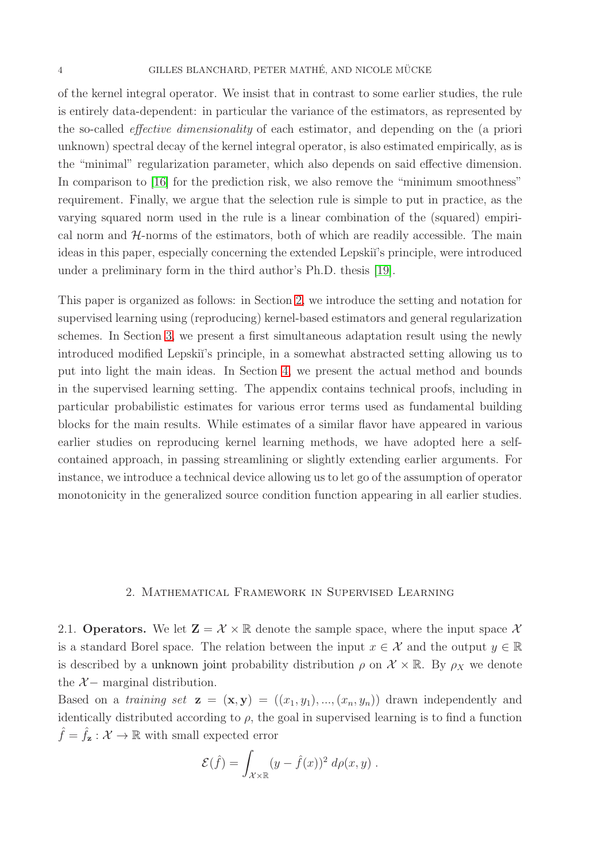of the kernel integral operator. We insist that in contrast to some earlier studies, the rule is entirely data-dependent: in particular the variance of the estimators, as represented by the so-called effective dimensionality of each estimator, and depending on the (a priori unknown) spectral decay of the kernel integral operator, is also estimated empirically, as is the "minimal" regularization parameter, which also depends on said effective dimension. In comparison to [\[16\]](#page-27-7) for the prediction risk, we also remove the "minimum smoothness" requirement. Finally, we argue that the selection rule is simple to put in practice, as the varying squared norm used in the rule is a linear combination of the (squared) empirical norm and  $H$ -norms of the estimators, both of which are readily accessible. The main ideas in this paper, especially concerning the extended Lepskii's principle, were introduced under a preliminary form in the third author's Ph.D. thesis [\[19\]](#page-27-9).

This paper is organized as follows: in Section [2,](#page-3-1) we introduce the setting and notation for supervised learning using (reproducing) kernel-based estimators and general regularization schemes. In Section [3,](#page-7-0) we present a first simultaneous adaptation result using the newly introduced modified Lepski<sup>\*</sup>'s principle, in a somewhat abstracted setting allowing us to put into light the main ideas. In Section [4,](#page-11-0) we present the actual method and bounds in the supervised learning setting. The appendix contains technical proofs, including in particular probabilistic estimates for various error terms used as fundamental building blocks for the main results. While estimates of a similar flavor have appeared in various earlier studies on reproducing kernel learning methods, we have adopted here a selfcontained approach, in passing streamlining or slightly extending earlier arguments. For instance, we introduce a technical device allowing us to let go of the assumption of operator monotonicity in the generalized source condition function appearing in all earlier studies.

## 2. Mathematical Framework in Supervised Learning

<span id="page-3-1"></span><span id="page-3-0"></span>2.1. Operators. We let  $\mathbf{Z} = \mathcal{X} \times \mathbb{R}$  denote the sample space, where the input space X is a standard Borel space. The relation between the input  $x \in \mathcal{X}$  and the output  $y \in \mathbb{R}$ is described by a unknown joint probability distribution  $\rho$  on  $\mathcal{X} \times \mathbb{R}$ . By  $\rho_X$  we denote the  $X-$  marginal distribution.

Based on a training set  $\mathbf{z} = (\mathbf{x}, \mathbf{y}) = ((x_1, y_1), ..., (x_n, y_n))$  drawn independently and identically distributed according to  $\rho$ , the goal in supervised learning is to find a function  $\hat{f} = \hat{f}_z : \mathcal{X} \to \mathbb{R}$  with small expected error

$$
\mathcal{E}(\hat{f}) = \int_{\mathcal{X} \times \mathbb{R}} (y - \hat{f}(x))^2 \, d\rho(x, y) \, .
$$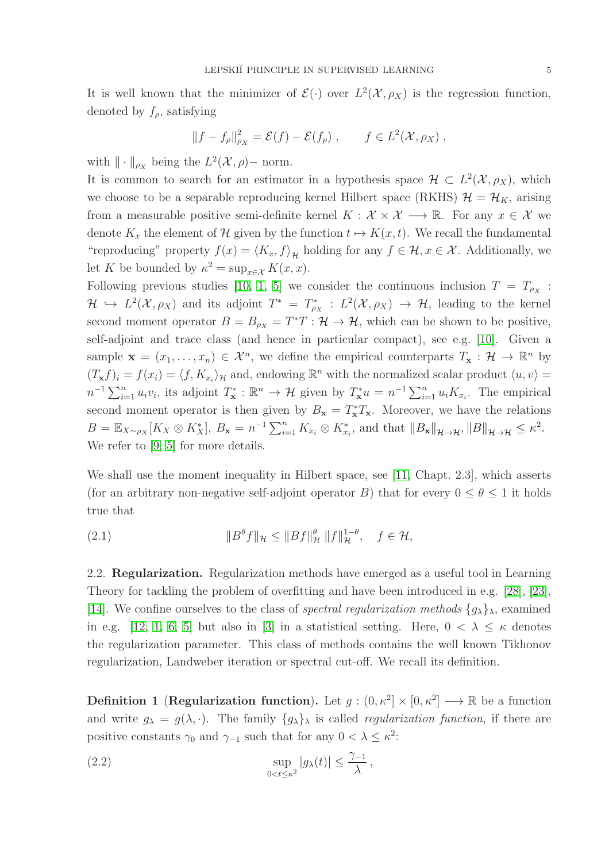It is well known that the minimizer of  $\mathcal{E}(\cdot)$  over  $L^2(\mathcal{X}, \rho_X)$  is the regression function, denoted by  $f_{\rho}$ , satisfying

$$
||f - f_{\rho}||_{\rho_X}^2 = \mathcal{E}(f) - \mathcal{E}(f_{\rho}), \qquad f \in L^2(\mathcal{X}, \rho_X),
$$

with  $\|\cdot\|_{\rho_X}$  being the  $L^2(\mathcal{X}, \rho)$ - norm.

It is common to search for an estimator in a hypothesis space  $\mathcal{H} \subset L^2(\mathcal{X}, \rho_X)$ , which we choose to be a separable reproducing kernel Hilbert space (RKHS)  $\mathcal{H} = \mathcal{H}_K$ , arising from a measurable positive semi-definite kernel  $K : \mathcal{X} \times \mathcal{X} \longrightarrow \mathbb{R}$ . For any  $x \in \mathcal{X}$  we denote  $K_x$  the element of H given by the function  $t \mapsto K(x, t)$ . We recall the fundamental "reproducing" property  $f(x) = \langle K_x, f \rangle_{\mathcal{H}}$  holding for any  $f \in \mathcal{H}, x \in \mathcal{X}$ . Additionally, we let K be bounded by  $\kappa^2 = \sup_{x \in \mathcal{X}} K(x, x)$ .

Following previous studies [\[10,](#page-27-3) [1,](#page-26-4) [5\]](#page-26-0) we consider the continuous inclusion  $T = T_{\rho_X}$ :  $\mathcal{H} \hookrightarrow L^2(\mathcal{X}, \rho_X)$  and its adjoint  $T^* = T^*_{\rho_X} : L^2(\mathcal{X}, \rho_X) \to \mathcal{H}$ , leading to the kernel second moment operator  $B = B_{\rho_X} = T^*T : \mathcal{H} \to \mathcal{H}$ , which can be shown to be positive, self-adjoint and trace class (and hence in particular compact), see e.g. [\[10\]](#page-27-3). Given a sample  $\mathbf{x} = (x_1, \dots, x_n) \in \mathcal{X}^n$ , we define the empirical counterparts  $T_{\mathbf{x}} : \mathcal{H} \to \mathbb{R}^n$  by  $(T_x f)_i = f(x_i) = \langle f, K_{x_i} \rangle_{\mathcal{H}}$  and, endowing  $\mathbb{R}^n$  with the normalized scalar product  $\langle u, v \rangle =$  $n^{-1}\sum_{i=1}^n u_i v_i$ , its adjoint  $T^*_\mathbf{x} : \mathbb{R}^n \to \mathcal{H}$  given by  $T^*_\mathbf{x} u = n^{-1}\sum_{i=1}^n u_i K_{x_i}$ . The empirical second moment operator is then given by  $B_x = T_x^*T_x$ . Moreover, we have the relations  $B = \mathbb{E}_{X \sim \rho_X}[K_X \otimes K_X^*], B_{\mathbf{x}} = n^{-1} \sum_{i=1}^n K_{x_i} \otimes K_{x_i}^*$ , and that  $||B_{\mathbf{x}}||_{\mathcal{H} \to \mathcal{H}}, ||B||_{\mathcal{H} \to \mathcal{H}} \leq \kappa^2$ . We refer to [\[9,](#page-26-1) [5\]](#page-26-0) for more details.

We shall use the moment inequality in Hilbert space, see [\[11,](#page-27-10) Chapt. 2.3], which asserts (for an arbitrary non-negative self-adjoint operator B) that for every  $0 \le \theta \le 1$  it holds true that

<span id="page-4-1"></span>(2.1) 
$$
\|B^{\theta} f\|_{\mathcal{H}} \le \|Bf\|_{\mathcal{H}}^{\theta} \|f\|_{\mathcal{H}}^{1-\theta}, \quad f \in \mathcal{H},
$$

2.2. **Regularization.** Regularization methods have emerged as a useful tool in Learning Theory for tackling the problem of overfitting and have been introduced in e.g. [\[28\]](#page-27-11), [\[23\]](#page-27-12), [\[14\]](#page-27-13). We confine ourselves to the class of *spectral regularization methods*  $\{g_{\lambda}\}_{\lambda}$ , examined in e.g. [\[12,](#page-27-4) [1,](#page-26-4) [6,](#page-26-2) [5\]](#page-26-0) but also in [\[3\]](#page-26-7) in a statistical setting. Here,  $0 < \lambda \leq \kappa$  denotes the regularization parameter. This class of methods contains the well known Tikhonov regularization, Landweber iteration or spectral cut-off. We recall its definition.

**Definition 1** (**Regularization function**). Let  $g : (0, \kappa^2] \times [0, \kappa^2] \longrightarrow \mathbb{R}$  be a function and write  $g_{\lambda} = g(\lambda, \cdot)$ . The family  $\{g_{\lambda}\}_{\lambda}$  is called *regularization function*, if there are positive constants  $\gamma_0$  and  $\gamma_{-1}$  such that for any  $0 < \lambda \leq \kappa^2$ :

<span id="page-4-0"></span>(2.2) 
$$
\sup_{0 < t \leq \kappa^2} |g_\lambda(t)| \leq \frac{\gamma_{-1}}{\lambda},
$$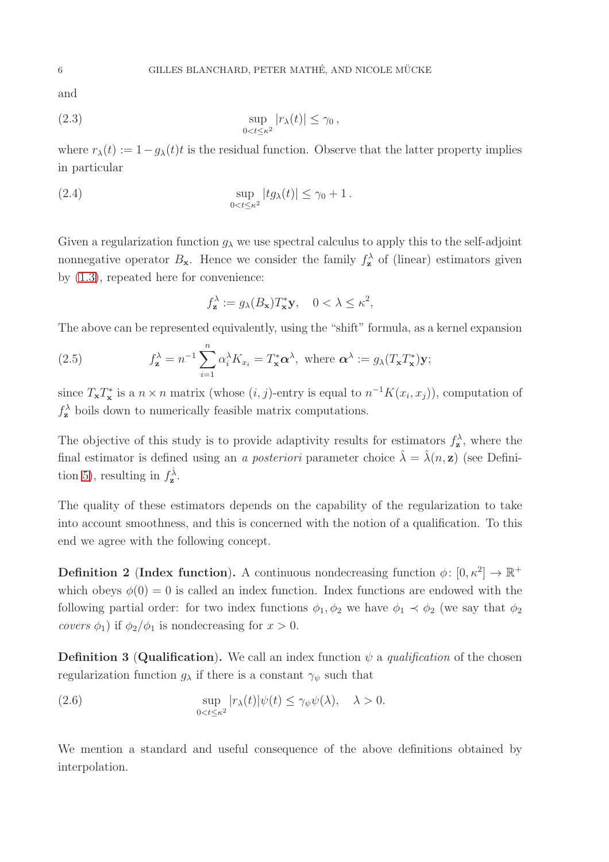and

(2.3) 
$$
\sup_{0 < t \leq \kappa^2} |r_{\lambda}(t)| \leq \gamma_0,
$$

where  $r_{\lambda}(t) := 1 - g_{\lambda}(t)t$  is the residual function. Observe that the latter property implies in particular

(2.4) 
$$
\sup_{0
$$

Given a regularization function  $g_{\lambda}$  we use spectral calculus to apply this to the self-adjoint nonnegative operator  $B_{\mathbf{x}}$ . Hence we consider the family  $f_{\mathbf{z}}^{\lambda}$  of (linear) estimators given by [\(1.3\)](#page-1-0), repeated here for convenience:

<span id="page-5-1"></span><span id="page-5-0"></span>
$$
f_{\mathbf{z}}^{\lambda} := g_{\lambda}(B_{\mathbf{x}}) T_{\mathbf{x}}^* \mathbf{y}, \quad 0 < \lambda \le \kappa^2,
$$

The above can be represented equivalently, using the "shift" formula, as a kernel expansion

(2.5) 
$$
f_{\mathbf{z}}^{\lambda} = n^{-1} \sum_{i=1}^{n} \alpha_i^{\lambda} K_{x_i} = T_{\mathbf{x}}^* \alpha^{\lambda}, \text{ where } \alpha^{\lambda} := g_{\lambda}(T_{\mathbf{x}} T_{\mathbf{x}}^*) \mathbf{y};
$$

since  $T_{\mathbf{x}}T_{\mathbf{x}}^{*}$  is a  $n \times n$  matrix (whose  $(i, j)$ -entry is equal to  $n^{-1}K(x_i, x_j)$ ), computation of  $f_{\mathbf{z}}^{\lambda}$  boils down to numerically feasible matrix computations.

The objective of this study is to provide adaptivity results for estimators  $f_{\mathbf{z}}^{\lambda}$ , where the final estimator is defined using an a posteriori parameter choice  $\hat{\lambda} = \hat{\lambda}(n, z)$  (see Defini-tion [5\)](#page-12-0), resulting in  $f_{\mathbf{z}}^{\hat{\lambda}}$ .

The quality of these estimators depends on the capability of the regularization to take into account smoothness, and this is concerned with the notion of a qualification. To this end we agree with the following concept.

<span id="page-5-2"></span>**Definition 2** (Index function). A continuous nondecreasing function  $\phi: [0, \kappa^2] \to \mathbb{R}^+$ which obeys  $\phi(0) = 0$  is called an index function. Index functions are endowed with the following partial order: for two index functions  $\phi_1, \phi_2$  we have  $\phi_1 \prec \phi_2$  (we say that  $\phi_2$ ) covers  $\phi_1$ ) if  $\phi_2/\phi_1$  is nondecreasing for  $x > 0$ .

<span id="page-5-3"></span>**Definition 3 (Qualification).** We call an index function  $\psi$  a qualification of the chosen regularization function  $g_{\lambda}$  if there is a constant  $\gamma_{\psi}$  such that

(2.6) 
$$
\sup_{0 < t \leq \kappa^2} |r_{\lambda}(t)| \psi(t) \leq \gamma_{\psi} \psi(\lambda), \quad \lambda > 0.
$$

We mention a standard and useful consequence of the above definitions obtained by interpolation.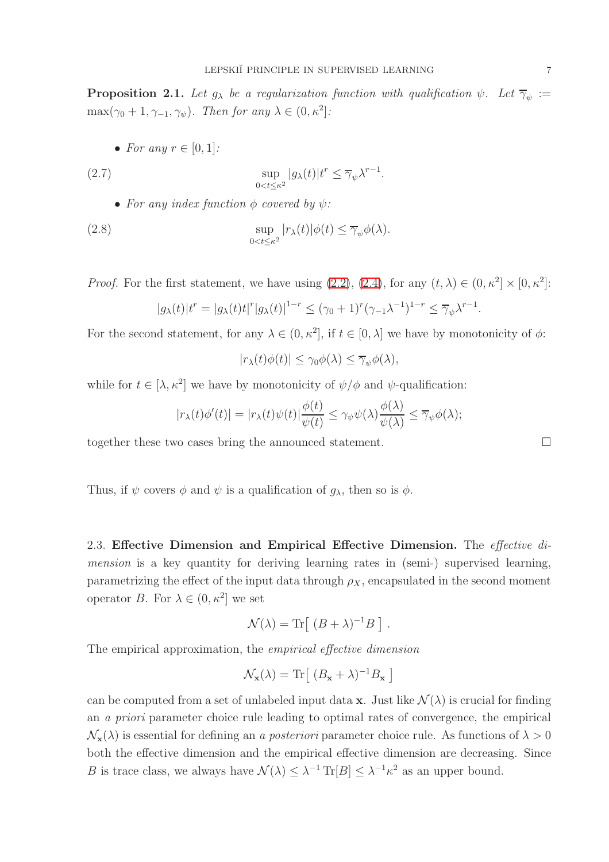<span id="page-6-0"></span>**Proposition 2.1.** Let  $g_{\lambda}$  be a regularization function with qualification  $\psi$ . Let  $\overline{\gamma}_{\psi}$  :=  $\max(\gamma_0+1, \gamma_{-1}, \gamma_{\psi})$ . Then for any  $\lambda \in (0, \kappa^2]$ :

• For any  $r \in [0, 1]$ :

(2.7) 
$$
\sup_{0 < t \le \kappa^2} |g_\lambda(t)| t^r \le \overline{\gamma}_{\psi} \lambda^{r-1}.
$$

• For any index function  $\phi$  covered by  $\psi$ :

(2.8) 
$$
\sup_{0 < t \leq \kappa^2} |r_{\lambda}(t)| \phi(t) \leq \overline{\gamma}_{\psi} \phi(\lambda).
$$

*Proof.* For the first statement, we have using  $(2.2)$ ,  $(2.4)$ , for any  $(t, \lambda) \in (0, \kappa^2] \times [0, \kappa^2]$ :

$$
|g_{\lambda}(t)|t^r = |g_{\lambda}(t)t|^r |g_{\lambda}(t)|^{1-r} \leq (\gamma_0 + 1)^r (\gamma_{-1}\lambda^{-1})^{1-r} \leq \overline{\gamma}_{\psi} \lambda^{r-1}.
$$

For the second statement, for any  $\lambda \in (0, \kappa^2]$ , if  $t \in [0, \lambda]$  we have by monotonicity of  $\phi$ :

$$
|r_{\lambda}(t)\phi(t)| \leq \gamma_0 \phi(\lambda) \leq \overline{\gamma}_{\psi}\phi(\lambda),
$$

while for  $t \in [\lambda, \kappa^2]$  we have by monotonicity of  $\psi/\phi$  and  $\psi$ -qualification:

$$
|r_{\lambda}(t)\phi'(t)| = |r_{\lambda}(t)\psi(t)|\frac{\phi(t)}{\psi(t)} \leq \gamma_{\psi}\psi(\lambda)\frac{\phi(\lambda)}{\psi(\lambda)} \leq \overline{\gamma}_{\psi}\phi(\lambda);
$$

together these two cases bring the announced statement.

Thus, if  $\psi$  covers  $\phi$  and  $\psi$  is a qualification of  $g_{\lambda}$ , then so is  $\phi$ .

2.3. Effective Dimension and Empirical Effective Dimension. The *effective di*mension is a key quantity for deriving learning rates in (semi-) supervised learning, parametrizing the effect of the input data through  $\rho_X$ , encapsulated in the second moment operator B. For  $\lambda \in (0, \kappa^2]$  we set

$$
\mathcal{N}(\lambda) = \text{Tr} \left[ (B + \lambda)^{-1} B \right].
$$

The empirical approximation, the empirical effective dimension

$$
\mathcal{N}_{\mathbf{x}}(\lambda) = \text{Tr}\big[ \; (B_{\mathbf{x}} + \lambda)^{-1} B_{\mathbf{x}} \; \big]
$$

can be computed from a set of unlabeled input data **x**. Just like  $\mathcal{N}(\lambda)$  is crucial for finding an a priori parameter choice rule leading to optimal rates of convergence, the empirical  $\mathcal{N}_{\mathbf{x}}(\lambda)$  is essential for defining an a posteriori parameter choice rule. As functions of  $\lambda > 0$ both the effective dimension and the empirical effective dimension are decreasing. Since B is trace class, we always have  $\mathcal{N}(\lambda) \leq \lambda^{-1} \text{Tr}[B] \leq \lambda^{-1} \kappa^2$  as an upper bound.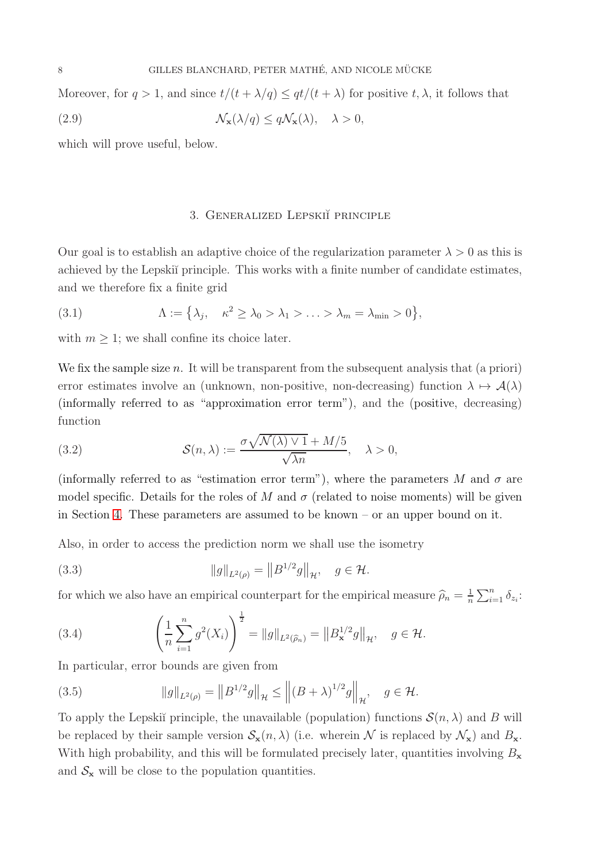Moreover, for  $q > 1$ , and since  $t/(t + \lambda/q) \leq qt/(t + \lambda)$  for positive  $t, \lambda$ , it follows that

(2.9) 
$$
\mathcal{N}_{\mathbf{x}}(\lambda/q) \leq q \mathcal{N}_{\mathbf{x}}(\lambda), \quad \lambda > 0,
$$

<span id="page-7-0"></span>which will prove useful, below.

## <span id="page-7-4"></span><span id="page-7-1"></span>3. GENERALIZED LEPSKIĬ PRINCIPLE

Our goal is to establish an adaptive choice of the regularization parameter  $\lambda > 0$  as this is achieved by the Lepski<sup> $\gamma$ </sup> principle. This works with a finite number of candidate estimates, and we therefore fix a finite grid

(3.1) 
$$
\Lambda := \left\{ \lambda_j, \quad \kappa^2 \ge \lambda_0 > \lambda_1 > \ldots > \lambda_m = \lambda_{\min} > 0 \right\},
$$

with  $m \geq 1$ ; we shall confine its choice later.

We fix the sample size  $n$ . It will be transparent from the subsequent analysis that (a priori) error estimates involve an (unknown, non-positive, non-decreasing) function  $\lambda \mapsto \mathcal{A}(\lambda)$ (informally referred to as "approximation error term"), and the (positive, decreasing) function

<span id="page-7-2"></span>(3.2) 
$$
\mathcal{S}(n,\lambda) := \frac{\sigma \sqrt{\mathcal{N}(\lambda) \vee 1} + M/5}{\sqrt{\lambda n}}, \quad \lambda > 0,
$$

(informally referred to as "estimation error term"), where the parameters M and  $\sigma$  are model specific. Details for the roles of M and  $\sigma$  (related to noise moments) will be given in Section [4.](#page-11-0) These parameters are assumed to be known – or an upper bound on it.

Also, in order to access the prediction norm we shall use the isometry

<span id="page-7-3"></span>(3.3) 
$$
\|g\|_{L^2(\rho)} = \|B^{1/2}g\|_{\mathcal{H}}, \quad g \in \mathcal{H}.
$$

for which we also have an empirical counterpart for the empirical measure  $\widehat{\rho}_n = \frac{1}{n}$  $\frac{1}{n} \sum_{i=1}^n \delta_{z_i}$ :

(3.4) 
$$
\left(\frac{1}{n}\sum_{i=1}^{n}g^{2}(X_{i})\right)^{\frac{1}{2}} = \|g\|_{L^{2}(\widehat{\rho}_{n})} = \|B_{\mathbf{x}}^{1/2}g\|_{\mathcal{H}}, \quad g \in \mathcal{H}.
$$

In particular, error bounds are given from

(3.5) 
$$
||g||_{L^{2}(\rho)} = ||B^{1/2}g||_{\mathcal{H}} \le ||(B+\lambda)^{1/2}g||_{\mathcal{H}}, \quad g \in \mathcal{H}.
$$

To apply the Lepski<sup> $\check{\theta}$ </sup> principle, the unavailable (population) functions  $\mathcal{S}(n, \lambda)$  and B will be replaced by their sample version  $\mathcal{S}_{\mathbf{x}}(n,\lambda)$  (i.e. wherein N is replaced by  $\mathcal{N}_{\mathbf{x}}$ ) and  $B_{\mathbf{x}}$ . With high probability, and this will be formulated precisely later, quantities involving  $B_{\mathbf{x}}$ and  $S_{\mathbf{x}}$  will be close to the population quantities.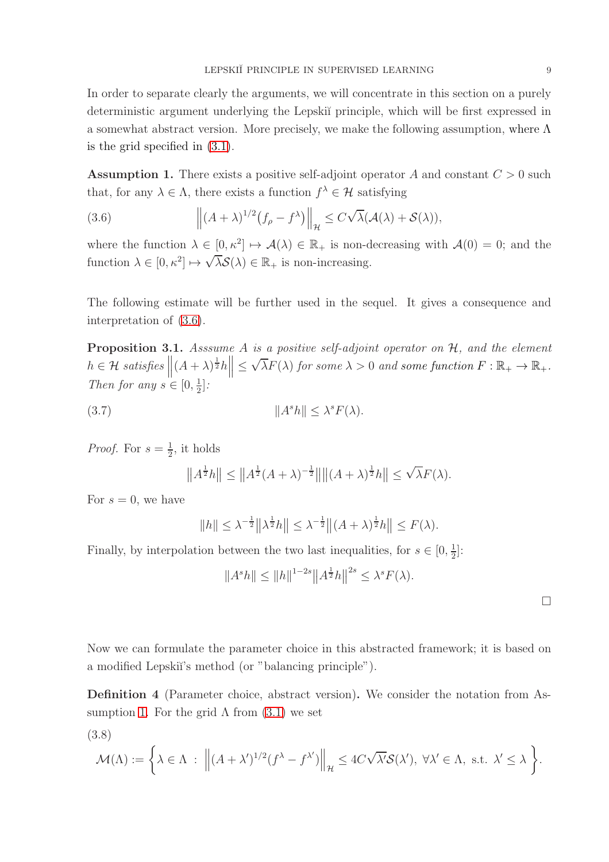In order to separate clearly the arguments, we will concentrate in this section on a purely deterministic argument underlying the Lepski˘ı principle, which will be first expressed in a somewhat abstract version. More precisely, we make the following assumption, where  $\Lambda$ is the grid specified in [\(3.1\)](#page-7-1).

<span id="page-8-1"></span>**Assumption 1.** There exists a positive self-adjoint operator A and constant  $C > 0$  such that, for any  $\lambda \in \Lambda$ , there exists a function  $f^{\lambda} \in \mathcal{H}$  satisfying

<span id="page-8-0"></span>(3.6) 
$$
\left\| (A + \lambda)^{1/2} (f_{\rho} - f^{\lambda}) \right\|_{\mathcal{H}} \leq C \sqrt{\lambda} (\mathcal{A}(\lambda) + \mathcal{S}(\lambda)),
$$

where the function  $\lambda \in [0, \kappa^2] \mapsto \mathcal{A}(\lambda) \in \mathbb{R}_+$  is non-decreasing with  $\mathcal{A}(0) = 0$ ; and the function  $\lambda \in [0, \kappa^2] \mapsto \sqrt{\lambda} \mathcal{S}(\lambda) \in \mathbb{R}_+$  is non-increasing.

The following estimate will be further used in the sequel. It gives a consequence and interpretation of [\(3.6\)](#page-8-0).

<span id="page-8-2"></span>**Proposition 3.1.** Asssume A is a positive self-adjoint operator on  $H$ , and the element  $h \in \mathcal{H}$  satisfies  $\left\| (A + \lambda)^{\frac{1}{2}} h \right\| \le$  $\sqrt{\lambda}F(\lambda)$  for some  $\lambda > 0$  and some function  $F : \mathbb{R}_+ \to \mathbb{R}_+$ . Then for any  $s \in [0, \frac{1}{2}]$  $\frac{1}{2}$ :

(3.7) kA <sup>s</sup>hk ≤ <sup>λ</sup> <sup>s</sup>F(λ).

*Proof.* For  $s = \frac{1}{2}$  $\frac{1}{2}$ , it holds

$$
||A^{\frac{1}{2}}h|| \leq ||A^{\frac{1}{2}}(A+\lambda)^{-\frac{1}{2}}|| ||(A+\lambda)^{\frac{1}{2}}h|| \leq \sqrt{\lambda}F(\lambda).
$$

For  $s = 0$ , we have

$$
||h|| \leq \lambda^{-\frac{1}{2}} ||\lambda^{\frac{1}{2}} h|| \leq \lambda^{-\frac{1}{2}} ||(A+\lambda)^{\frac{1}{2}} h|| \leq F(\lambda).
$$

Finally, by interpolation between the two last inequalities, for  $s \in [0, \frac{1}{2}]$  $\frac{1}{2}$ :

$$
||A^{s}h|| \le ||h||^{1-2s} ||A^{\frac{1}{2}}h||^{2s} \le \lambda^{s} F(\lambda).
$$

 $\Box$ 

Now we can formulate the parameter choice in this abstracted framework; it is based on a modified Lepskii's method (or "balancing principle").

Definition 4 (Parameter choice, abstract version). We consider the notation from As-sumption [1.](#page-8-1) For the grid  $\Lambda$  from  $(3.1)$  we set

<span id="page-8-3"></span>(3.8)

$$
\mathcal{M}(\Lambda) := \left\{ \lambda \in \Lambda \; : \; \left\| (A + \lambda')^{1/2} (f^{\lambda} - f^{\lambda'}) \right\|_{\mathcal{H}} \leq 4C\sqrt{\lambda'} \mathcal{S}(\lambda'), \; \forall \lambda' \in \Lambda, \text{ s.t. } \lambda' \leq \lambda \right\}.
$$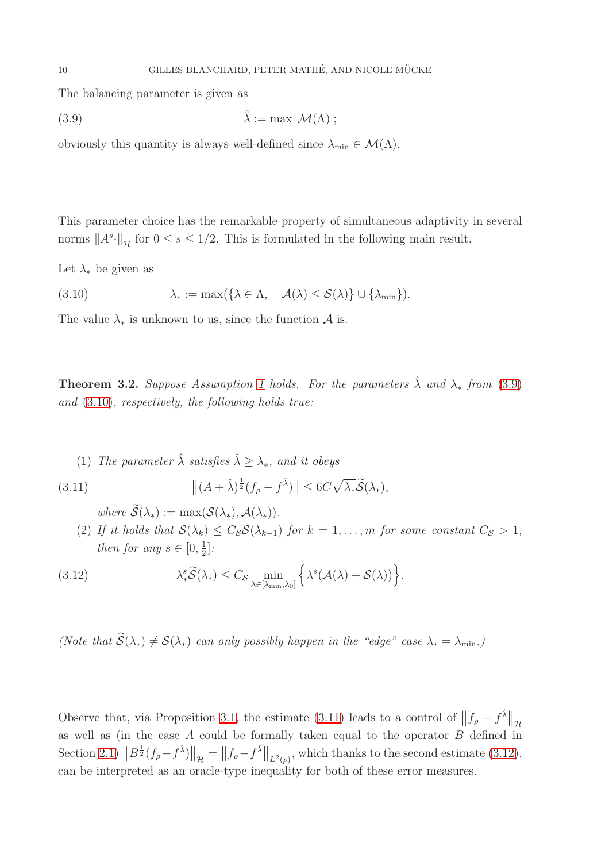The balancing parameter is given as

<span id="page-9-0"></span>(3.9) 
$$
\hat{\lambda} := \max \mathcal{M}(\Lambda) ;
$$

obviously this quantity is always well-defined since  $\lambda_{\min} \in \mathcal{M}(\Lambda)$ .

This parameter choice has the remarkable property of simultaneous adaptivity in several norms  $||A^s \cdot ||_{\mathcal{H}}$  for  $0 \leq s \leq 1/2$ . This is formulated in the following main result.

Let  $\lambda_*$  be given as

<span id="page-9-1"></span>(3.10) 
$$
\lambda_* := \max(\{\lambda \in \Lambda, \quad \mathcal{A}(\lambda) \leq \mathcal{S}(\lambda)\} \cup \{\lambda_{\min}\}).
$$

The value  $\lambda_*$  is unknown to us, since the function  $\mathcal A$  is.

<span id="page-9-4"></span>**Theorem 3.2.** Suppose Assumption [1](#page-8-1) holds. For the parameters  $\hat{\lambda}$  and  $\lambda_*$  from [\(3.9\)](#page-9-0) and [\(3.10\)](#page-9-1), respectively, the following holds true:

(1) The parameter  $\hat{\lambda}$  satisfies  $\hat{\lambda} \geq \lambda_*$ , and it obeys

(3.11) 
$$
\|(A+\hat{\lambda})^{\frac{1}{2}}(f_{\rho}-f^{\hat{\lambda}})\| \leq 6C\sqrt{\lambda_*}\widetilde{\mathcal{S}}(\lambda_*),
$$

<span id="page-9-3"></span><span id="page-9-2"></span>where  $\widetilde{\mathcal{S}}(\lambda_*) := \max(\mathcal{S}(\lambda_*), \mathcal{A}(\lambda_*)).$ 

<span id="page-9-5"></span>(2) If it holds that  $\mathcal{S}(\lambda_k) \leq C_{\mathcal{S}} \mathcal{S}(\lambda_{k-1})$  for  $k = 1, \ldots, m$  for some constant  $C_{\mathcal{S}} > 1$ , then for any  $s \in [0, \frac{1}{2}]$  $\frac{1}{2}$ :

(3.12) 
$$
\lambda_*^s \widetilde{\mathcal{S}}(\lambda_*) \leq C_{\mathcal{S}} \min_{\lambda \in [\lambda_{\min}, \lambda_0]} \left\{ \lambda^s (\mathcal{A}(\lambda) + \mathcal{S}(\lambda)) \right\}.
$$

(Note that  $\widetilde{\mathcal{S}}(\lambda_*) \neq \mathcal{S}(\lambda_*)$  can only possibly happen in the "edge" case  $\lambda_* = \lambda_{\min}$ .)

Observe that, via Proposition [3.1,](#page-8-2) the estimate [\(3.11\)](#page-9-2) leads to a control of  $||f_{\rho} - f^{\hat{\lambda}}||$ as well as (in the case A could be formally taken equal to the operator B defined in Section [2.1\)](#page-3-0)  $||B^{\frac{1}{2}}(f_{\rho}-f^{\hat{\lambda}})||_{\mathcal{H}} = ||f_{\rho}-f^{\hat{\lambda}}||_{L^{2}(\rho)},$  which thanks to the second estimate [\(3.12\)](#page-9-3), can be interpreted as an oracle-type inequality for both of these error measures.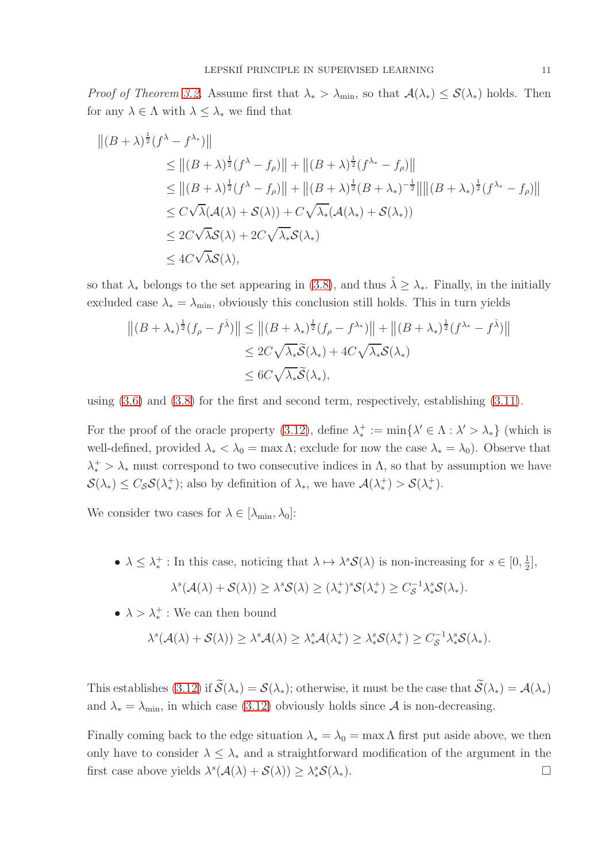*Proof of Theorem [3.2.](#page-9-4)* Assume first that  $\lambda_* > \lambda_{\min}$ , so that  $\mathcal{A}(\lambda_*) \leq \mathcal{S}(\lambda_*)$  holds. Then for any  $\lambda \in \Lambda$  with  $\lambda \leq \lambda_*$  we find that

$$
||(B + \lambda)^{\frac{1}{2}}(f^{\lambda} - f^{\lambda_{*}})||
$$
  
\n
$$
\leq ||(B + \lambda)^{\frac{1}{2}}(f^{\lambda} - f_{\rho})|| + ||(B + \lambda)^{\frac{1}{2}}(f^{\lambda_{*}} - f_{\rho})||
$$
  
\n
$$
\leq ||(B + \lambda)^{\frac{1}{2}}(f^{\lambda} - f_{\rho})|| + ||(B + \lambda)^{\frac{1}{2}}(B + \lambda_{*})^{-\frac{1}{2}}|| ||(B + \lambda_{*})^{\frac{1}{2}}(f^{\lambda_{*}} - f_{\rho})||
$$
  
\n
$$
\leq C\sqrt{\lambda}(\mathcal{A}(\lambda) + \mathcal{S}(\lambda)) + C\sqrt{\lambda_{*}}(\mathcal{A}(\lambda_{*}) + \mathcal{S}(\lambda_{*}))
$$
  
\n
$$
\leq 2C\sqrt{\lambda}\mathcal{S}(\lambda) + 2C\sqrt{\lambda_{*}}\mathcal{S}(\lambda_{*})
$$
  
\n
$$
\leq 4C\sqrt{\lambda}\mathcal{S}(\lambda),
$$

so that  $\lambda_*$  belongs to the set appearing in [\(3.8\)](#page-8-3), and thus  $\hat{\lambda} \geq \lambda_*$ . Finally, in the initially excluded case  $\lambda_* = \lambda_{\min}$ , obviously this conclusion still holds. This in turn yields

$$
||(B + \lambda_*)^{\frac{1}{2}}(f_{\rho} - f^{\hat{\lambda}})|| \le ||(B + \lambda_*)^{\frac{1}{2}}(f_{\rho} - f^{\lambda_*)}|| + ||(B + \lambda_*)^{\frac{1}{2}}(f^{\lambda_*} - f^{\hat{\lambda}})||
$$
  
\n
$$
\le 2C\sqrt{\lambda_*}\widetilde{\mathcal{S}}(\lambda_*) + 4C\sqrt{\lambda_*}\mathcal{S}(\lambda_*)
$$
  
\n
$$
\le 6C\sqrt{\lambda_*}\widetilde{\mathcal{S}}(\lambda_*)
$$

using  $(3.6)$  and  $(3.8)$  for the first and second term, respectively, establishing  $(3.11)$ .

For the proof of the oracle property [\(3.12\)](#page-9-3), define  $\lambda_*^+$  $* := \min\{\lambda' \in \Lambda : \lambda' > \lambda_*\}$  (which is well-defined, provided  $\lambda_* < \lambda_0 = \max \Lambda$ ; exclude for now the case  $\lambda_* = \lambda_0$ ). Observe that  $\lambda_*^+ > \lambda_*$  must correspond to two consecutive indices in  $\Lambda$ , so that by assumption we have  $\mathcal{S}(\lambda_*) \leq C_{\mathcal{S}} \mathcal{S}(\lambda_*^+$ <sup>+</sup>); also by definition of  $\lambda_*$ , we have  $\mathcal{A}(\lambda^+_*)$  $(*) > S(\lambda^+_*)$ ∗ ).

We consider two cases for  $\lambda \in [\lambda_{\min}, \lambda_0]$ :

- $\bullet \ \lambda \leq \lambda_*^+$ <sup>+</sup> : In this case, noticing that  $\lambda \mapsto \lambda^s \mathcal{S}(\lambda)$  is non-increasing for  $s \in [0, \frac{1}{2})$  $\frac{1}{2}$ ,  $\lambda^s(\mathcal{A}(\lambda) + \mathcal{S}(\lambda)) \geq \lambda^s \mathcal{S}(\lambda) \geq (\lambda_*^+$ <sup>+</sup> $\int_{0}^{+\infty} S(\lambda^+_*)^s$ <sup>+</sup> $\geq C_{\mathcal{S}}^{-1} \lambda_*^s \mathcal{S}(\lambda_*).$
- $\lambda > \lambda_*^+$ : We can then bound

$$
\lambda^s(\mathcal{A}(\lambda)+\mathcal{S}(\lambda))\geq \lambda^s\mathcal{A}(\lambda)\geq \lambda^s_*\mathcal{A}(\lambda^+_*)\geq \lambda^s_*\mathcal{S}(\lambda^+_*)\geq C_{\mathcal{S}}^{-1}\lambda^s_*\mathcal{S}(\lambda_*).
$$

This establishes [\(3.12\)](#page-9-3) if  $\widetilde{\mathcal{S}}(\lambda_*) = \mathcal{S}(\lambda_*)$ ; otherwise, it must be the case that  $\widetilde{\mathcal{S}}(\lambda_*) = \mathcal{A}(\lambda_*)$ and  $\lambda_* = \lambda_{\min}$ , in which case [\(3.12\)](#page-9-3) obviously holds since  $A$  is non-decreasing.

Finally coming back to the edge situation  $\lambda_* = \lambda_0 = \max \Lambda$  first put aside above, we then only have to consider  $\lambda \leq \lambda_*$  and a straightforward modification of the argument in the first case above yields  $\lambda^s(\mathcal{A}(\lambda) + \mathcal{S}(\lambda)) \geq \lambda^s_* \mathcal{S}(\lambda_*)$ .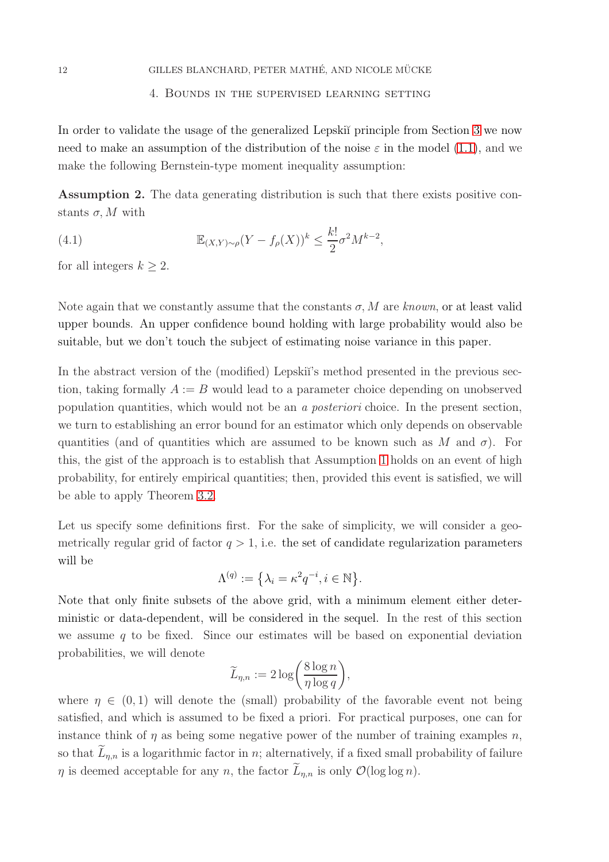## <span id="page-11-0"></span>12 GILLES BLANCHARD, PETER MATHÉ, AND NICOLE MÜCKE

## 4. Bounds in the supervised learning setting

In order to validate the usage of the generalized Lepski<sup> $\gamma$ </sup> principle from Section [3](#page-7-0) we now need to make an assumption of the distribution of the noise  $\varepsilon$  in the model [\(1.1\)](#page-0-0), and we make the following Bernstein-type moment inequality assumption:

<span id="page-11-1"></span>Assumption 2. The data generating distribution is such that there exists positive constants  $\sigma$ , M with

(4.1) 
$$
\mathbb{E}_{(X,Y)\sim\rho}(Y - f_{\rho}(X))^k \leq \frac{k!}{2}\sigma^2 M^{k-2},
$$

for all integers  $k \geq 2$ .

Note again that we constantly assume that the constants  $\sigma$ , M are known, or at least valid upper bounds. An upper confidence bound holding with large probability would also be suitable, but we don't touch the subject of estimating noise variance in this paper.

In the abstract version of the (modified) Lepski<sup>\*</sup>'s method presented in the previous section, taking formally  $A := B$  would lead to a parameter choice depending on unobserved population quantities, which would not be an a posteriori choice. In the present section, we turn to establishing an error bound for an estimator which only depends on observable quantities (and of quantities which are assumed to be known such as M and  $\sigma$ ). For this, the gist of the approach is to establish that Assumption [1](#page-8-1) holds on an event of high probability, for entirely empirical quantities; then, provided this event is satisfied, we will be able to apply Theorem [3.2.](#page-9-4)

Let us specify some definitions first. For the sake of simplicity, we will consider a geometrically regular grid of factor  $q > 1$ , i.e. the set of candidate regularization parameters will be

$$
\Lambda^{(q)} := \left\{ \lambda_i = \kappa^2 q^{-i}, i \in \mathbb{N} \right\}.
$$

Note that only finite subsets of the above grid, with a minimum element either deterministic or data-dependent, will be considered in the sequel. In the rest of this section we assume  $q$  to be fixed. Since our estimates will be based on exponential deviation probabilities, we will denote

$$
\widetilde{L}_{\eta,n} := 2 \log \bigg( \frac{8 \log n}{\eta \log q} \bigg),\,
$$

where  $\eta \in (0,1)$  will denote the (small) probability of the favorable event not being satisfied, and which is assumed to be fixed a priori. For practical purposes, one can for instance think of  $\eta$  as being some negative power of the number of training examples n, so that  $L_{\eta,n}$  is a logarithmic factor in n; alternatively, if a fixed small probability of failure  $\eta$  is deemed acceptable for any n, the factor  $\bar{L}_{n,n}$  is only  $\mathcal{O}(\log \log n)$ .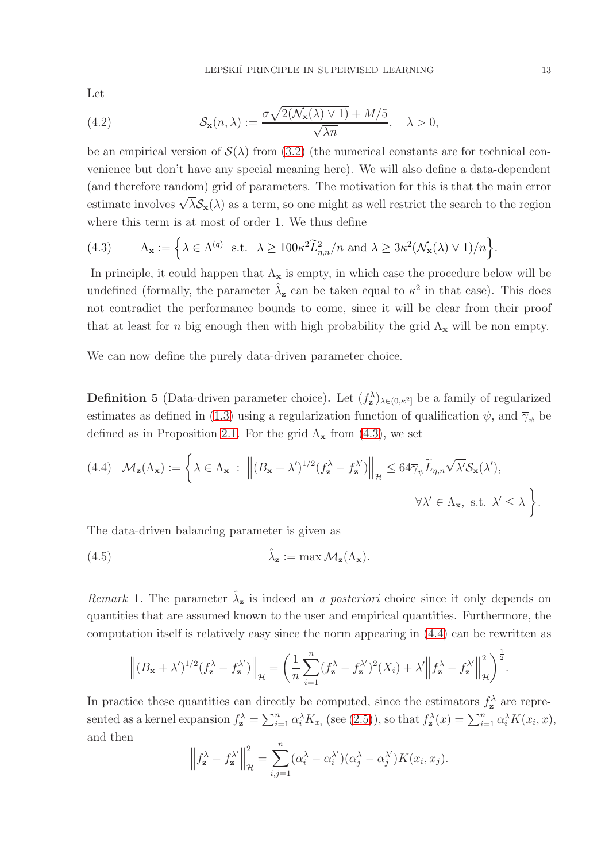Let

(4.2) 
$$
\mathcal{S}_{\mathbf{x}}(n,\lambda) := \frac{\sigma \sqrt{2(\mathcal{N}_{\mathbf{x}}(\lambda) \vee 1)} + M/5}{\sqrt{\lambda n}}, \quad \lambda > 0,
$$

be an empirical version of  $\mathcal{S}(\lambda)$  from [\(3.2\)](#page-7-2) (the numerical constants are for technical convenience but don't have any special meaning here). We will also define a data-dependent (and therefore random) grid of parameters. The motivation for this is that the main error estimate involves  $\sqrt{\lambda}S_{\mathbf{x}}(\lambda)$  as a term, so one might as well restrict the search to the region where this term is at most of order 1. We thus define

<span id="page-12-1"></span>(4.3) 
$$
\Lambda_{\mathbf{x}} := \left\{ \lambda \in \Lambda^{(q)} \text{ s.t. } \lambda \geq 100 \kappa^2 \widetilde{L}_{\eta,n}^2 / n \text{ and } \lambda \geq 3 \kappa^2 (\mathcal{N}_{\mathbf{x}}(\lambda) \vee 1) / n \right\}.
$$

In principle, it could happen that  $\Lambda_{\mathbf{x}}$  is empty, in which case the procedure below will be undefined (formally, the parameter  $\hat{\lambda}_z$  can be taken equal to  $\kappa^2$  in that case). This does not contradict the performance bounds to come, since it will be clear from their proof that at least for n big enough then with high probability the grid  $\Lambda_{\mathbf{x}}$  will be non empty.

We can now define the purely data-driven parameter choice.

<span id="page-12-0"></span>**Definition 5** (Data-driven parameter choice). Let  $(f_{\mathbf{z}}^{\lambda})_{\lambda \in (0,\kappa^2]}$  be a family of regularized estimates as defined in [\(1.3\)](#page-1-0) using a regularization function of qualification  $\psi$ , and  $\overline{\gamma}_{\psi}$  be defined as in Proposition [2.1.](#page-6-0) For the grid  $\Lambda_{\mathbf{x}}$  from [\(4.3\)](#page-12-1), we set

<span id="page-12-2"></span>(4.4) 
$$
\mathcal{M}_{\mathbf{z}}(\Lambda_{\mathbf{x}}) := \left\{ \lambda \in \Lambda_{\mathbf{x}} : \left\| (B_{\mathbf{x}} + \lambda')^{1/2} (f_{\mathbf{z}}^{\lambda} - f_{\mathbf{z}}^{\lambda'}) \right\|_{\mathcal{H}} \leq 64 \overline{\gamma}_{\psi} \widetilde{L}_{\eta, n} \sqrt{\lambda'} \mathcal{S}_{\mathbf{x}}(\lambda'),
$$
  
 $\forall \lambda' \in \Lambda_{\mathbf{x}}, \text{ s.t. } \lambda' \leq \lambda \right\}.$ 

The data-driven balancing parameter is given as

(4.5) 
$$
\hat{\lambda}_{\mathbf{z}} := \max \mathcal{M}_{\mathbf{z}}(\Lambda_{\mathbf{x}}).
$$

Remark 1. The parameter  $\hat{\lambda}_z$  is indeed an a posteriori choice since it only depends on quantities that are assumed known to the user and empirical quantities. Furthermore, the computation itself is relatively easy since the norm appearing in [\(4.4\)](#page-12-2) can be rewritten as

<span id="page-12-3"></span>
$$
\left\| (B_{\mathbf{x}} + \lambda')^{1/2} (f_{\mathbf{z}}^{\lambda} - f_{\mathbf{z}}^{\lambda'}) \right\|_{\mathcal{H}} = \left( \frac{1}{n} \sum_{i=1}^{n} (f_{\mathbf{z}}^{\lambda} - f_{\mathbf{z}}^{\lambda'})^2 (X_i) + \lambda' \left\| f_{\mathbf{z}}^{\lambda} - f_{\mathbf{z}}^{\lambda'} \right\|_{\mathcal{H}}^2 \right)^{\frac{1}{2}}.
$$

In practice these quantities can directly be computed, since the estimators  $f_{\mathbf{z}}^{\lambda}$  are represented as a kernel expansion  $f_{\mathbf{z}}^{\lambda} = \sum_{i=1}^{n} \alpha_i^{\lambda} K_{x_i}$  (see [\(2.5\)](#page-5-1)), so that  $f_{\mathbf{z}}^{\lambda}(x) = \sum_{i=1}^{n} \alpha_i^{\lambda} K(x_i, x)$ , and then

$$
\left\|f_{\mathbf{z}}^{\lambda} - f_{\mathbf{z}}^{\lambda'}\right\|_{\mathcal{H}}^{2} = \sum_{i,j=1}^{n} (\alpha_i^{\lambda} - \alpha_i^{\lambda'}) (\alpha_j^{\lambda} - \alpha_j^{\lambda'}) K(x_i, x_j).
$$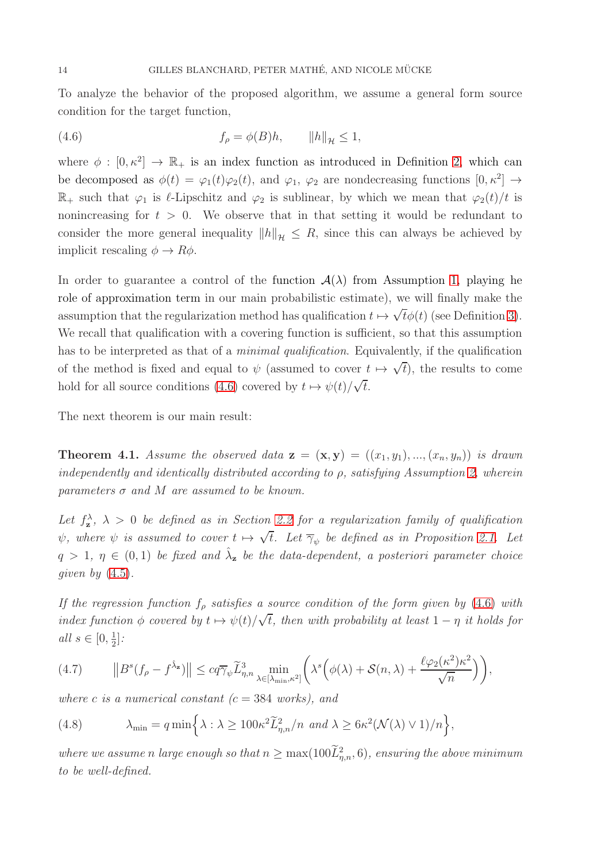To analyze the behavior of the proposed algorithm, we assume a general form source condition for the target function,

<span id="page-13-0"></span>(4.6) 
$$
f_{\rho} = \phi(B)h, \qquad ||h||_{\mathcal{H}} \le 1,
$$

where  $\phi : [0, \kappa^2] \to \mathbb{R}_+$  is an index function as introduced in Definition [2,](#page-5-2) which can be decomposed as  $\phi(t) = \varphi_1(t)\varphi_2(t)$ , and  $\varphi_1$ ,  $\varphi_2$  are nondecreasing functions  $[0, \kappa^2] \to$  $\mathbb{R}_+$  such that  $\varphi_1$  is  $\ell$ -Lipschitz and  $\varphi_2$  is sublinear, by which we mean that  $\varphi_2(t)/t$  is nonincreasing for  $t > 0$ . We observe that in that setting it would be redundant to consider the more general inequality  $||h||_{\mathcal{H}} \leq R$ , since this can always be achieved by implicit rescaling  $\phi \to R\phi$ .

In order to guarantee a control of the function  $A(\lambda)$  from Assumption [1,](#page-8-1) playing he role of approximation term in our main probabilistic estimate), we will finally make the assumption that the regularization method has qualification  $t \mapsto \sqrt{t}\phi(t)$  (see Definition [3\)](#page-5-3). We recall that qualification with a covering function is sufficient, so that this assumption has to be interpreted as that of a *minimal qualification*. Equivalently, if the qualification of the method is fixed and equal to  $\psi$  (assumed to cover  $t \mapsto \sqrt{t}$ ), the results to come hold for all source conditions [\(4.6\)](#page-13-0) covered by  $t \mapsto \psi(t)/\sqrt{t}$ .

The next theorem is our main result:

<span id="page-13-1"></span>**Theorem 4.1.** Assume the observed data  $z = (x, y) = ((x_1, y_1), ..., (x_n, y_n))$  is drawn independently and identically distributed according to  $\rho$ , satisfying Assumption [2,](#page-11-1) wherein parameters  $\sigma$  and M are assumed to be known.

Let  $f_{\mathbf{z}}^{\lambda}$ ,  $\lambda > 0$  be defined as in Section [2.2](#page-4-1) for a regularization family of qualification  $\psi$ , where  $\psi$  is assumed to cover  $t \mapsto \sqrt{t}$ . Let  $\overline{\gamma}_{\psi}$  be defined as in Proposition [2.1.](#page-6-0) Let  $q > 1, \eta \in (0,1)$  be fixed and  $\hat{\lambda}_z$  be the data-dependent, a posteriori parameter choice qiven by  $(4.5)$ .

If the regression function  $f_{\rho}$  satisfies a source condition of the form given by [\(4.6\)](#page-13-0) with index function  $\phi$  covered by  $t \mapsto \psi(t)/\sqrt{t}$ , then with probability at least  $1 - \eta$  it holds for all  $s \in [0, \frac{1}{2}]$  $\frac{1}{2}$ :

<span id="page-13-3"></span>(4.7) 
$$
\|B^s(f_\rho - f^{\hat{\lambda}_{\mathbf{z}}})\| \leq c q \overline{\gamma}_{\psi} \widetilde{L}^3_{\eta,n} \min_{\lambda \in [\lambda_{\min},\kappa^2]} \left( \lambda^s \left( \phi(\lambda) + \mathcal{S}(n,\lambda) + \frac{\ell \varphi_2(\kappa^2) \kappa^2}{\sqrt{n}} \right) \right),
$$

where c is a numerical constant  $(c = 384 \text{ works})$ , and

<span id="page-13-2"></span>(4.8) 
$$
\lambda_{\min} = q \min \left\{ \lambda : \lambda \geq 100 \kappa^2 \widetilde{L}_{\eta,n}^2 / n \text{ and } \lambda \geq 6 \kappa^2 (\mathcal{N}(\lambda) \vee 1) / n \right\},
$$

where we assume n large enough so that  $n \ge \max(100L_{\eta,n}^2,6)$ , ensuring the above minimum to be well-defined.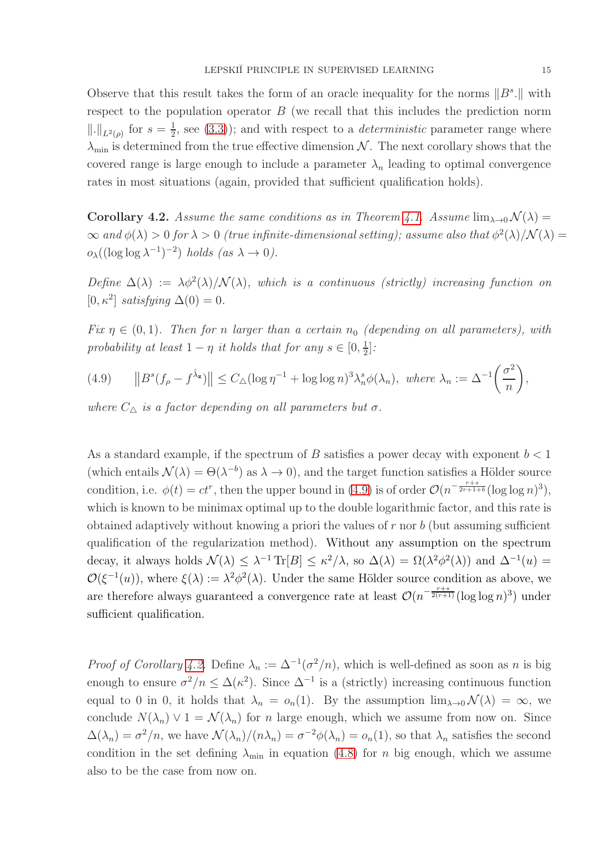Observe that this result takes the form of an oracle inequality for the norms  $||B^s||$  with respect to the population operator  $B$  (we recall that this includes the prediction norm  $\|.\|_{L^2(\rho)}$  for  $s=\frac{1}{2}$  $\frac{1}{2}$ , see [\(3.3\)](#page-7-3)); and with respect to a *deterministic* parameter range where  $\lambda_{\min}$  is determined from the true effective dimension N. The next corollary shows that the covered range is large enough to include a parameter  $\lambda_n$  leading to optimal convergence rates in most situations (again, provided that sufficient qualification holds).

<span id="page-14-1"></span>**Corollary 4.2.** Assume the same conditions as in Theorem [4.1.](#page-13-1) Assume  $\lim_{\lambda\to 0} \mathcal{N}(\lambda) =$  $\infty$  and  $\phi(\lambda) > 0$  for  $\lambda > 0$  (true infinite-dimensional setting); assume also that  $\phi^2(\lambda)/\mathcal{N}(\lambda) =$  $o_{\lambda}((\log \log \lambda^{-1})^{-2})$  holds  $(as \lambda \to 0).$ 

Define  $\Delta(\lambda) := \lambda \phi^2(\lambda) / \mathcal{N}(\lambda)$ , which is a continuous (strictly) increasing function on [0,  $\kappa^2$ ] satisfying  $\Delta(0) = 0$ .

Fix  $\eta \in (0,1)$ . Then for n larger than a certain  $n_0$  (depending on all parameters), with probability at least  $1 - \eta$  it holds that for any  $s \in [0, \frac{1}{2}]$  $\frac{1}{2}$ :

<span id="page-14-0"></span>(4.9) 
$$
\|B^s(f_\rho - f^{\hat{\lambda}_{\mathbf{z}}})\| \le C_\Delta (\log \eta^{-1} + \log \log n)^3 \lambda_n^s \phi(\lambda_n), \text{ where } \lambda_n := \Delta^{-1} \left(\frac{\sigma^2}{n}\right),
$$

where  $C_{\Delta}$  is a factor depending on all parameters but  $\sigma$ .

As a standard example, if the spectrum of B satisfies a power decay with exponent  $b < 1$ (which entails  $\mathcal{N}(\lambda) = \Theta(\lambda^{-b})$  as  $\lambda \to 0$ ), and the target function satisfies a Hölder source condition, i.e.  $\phi(t) = ct^r$ , then the upper bound in [\(4.9\)](#page-14-0) is of order  $\mathcal{O}(n^{-\frac{r+s}{2r+1+b}}(\log \log n)^3)$ , which is known to be minimax optimal up to the double logarithmic factor, and this rate is obtained adaptively without knowing a priori the values of  $r$  nor  $b$  (but assuming sufficient qualification of the regularization method). Without any assumption on the spectrum decay, it always holds  $\mathcal{N}(\lambda) \leq \lambda^{-1} \text{Tr}[B] \leq \kappa^2/\lambda$ , so  $\Delta(\lambda) = \Omega(\lambda^2 \phi^2(\lambda))$  and  $\Delta^{-1}(u) =$  $\mathcal{O}(\xi^{-1}(u))$ , where  $\xi(\lambda) := \lambda^2 \phi^2(\lambda)$ . Under the same Hölder source condition as above, we are therefore always guaranteed a convergence rate at least  $\mathcal{O}(n^{-\frac{r+s}{2(r+1)}}(\log \log n)^3)$  under sufficient qualification.

*Proof of Corollary [4.2.](#page-14-1)* Define  $\lambda_n := \Delta^{-1}(\sigma^2/n)$ , which is well-defined as soon as n is big enough to ensure  $\sigma^2/n \leq \Delta(\kappa^2)$ . Since  $\Delta^{-1}$  is a (strictly) increasing continuous function equal to 0 in 0, it holds that  $\lambda_n = o_n(1)$ . By the assumption  $\lim_{\lambda \to 0} \mathcal{N}(\lambda) = \infty$ , we conclude  $N(\lambda_n) \vee 1 = \mathcal{N}(\lambda_n)$  for n large enough, which we assume from now on. Since  $\Delta(\lambda_n) = \sigma^2/n$ , we have  $\mathcal{N}(\lambda_n)/(n\lambda_n) = \sigma^{-2}\phi(\lambda_n) = o_n(1)$ , so that  $\lambda_n$  satisfies the second condition in the set defining  $\lambda_{\min}$  in equation [\(4.8\)](#page-13-2) for n big enough, which we assume also to be the case from now on.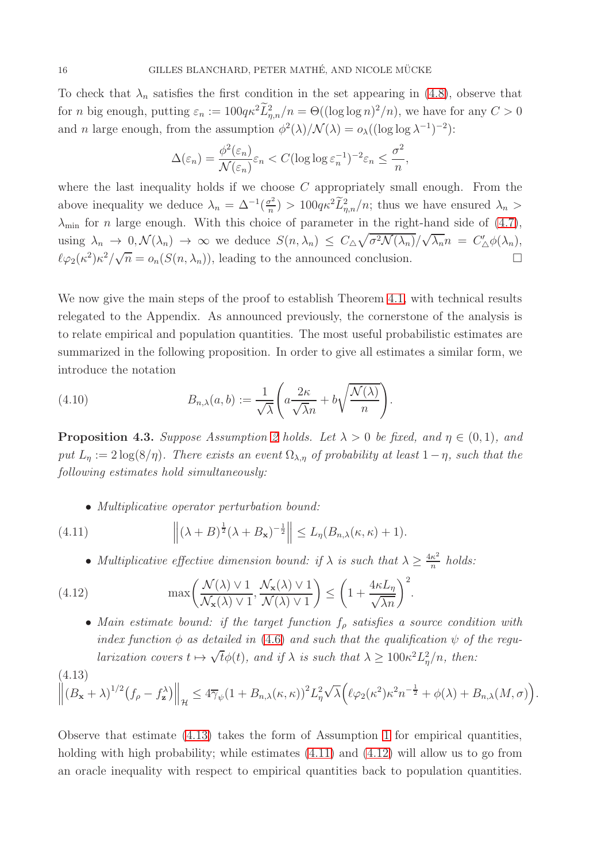To check that  $\lambda_n$  satisfies the first condition in the set appearing in [\(4.8\)](#page-13-2), observe that for *n* big enough, putting  $\varepsilon_n := 100q\kappa^2 \tilde{L}_{\eta,n}^2/n = \Theta((\log \log n)^2/n)$ , we have for any  $C > 0$ and *n* large enough, from the assumption  $\phi^2(\lambda)/\mathcal{N}(\lambda) = o_{\lambda}((\log \log \lambda^{-1})^{-2})$ :

$$
\Delta(\varepsilon_n) = \frac{\phi^2(\varepsilon_n)}{\mathcal{N}(\varepsilon_n)} \varepsilon_n < C(\log \log \varepsilon_n^{-1})^{-2} \varepsilon_n \le \frac{\sigma^2}{n},
$$

where the last inequality holds if we choose  $C$  appropriately small enough. From the above inequality we deduce  $\lambda_n = \Delta^{-1}(\frac{\sigma^2}{n})$  $\frac{r^2}{n}$ ) > 100 $q\kappa^2 \tilde{L}_{\eta,n}^2/n$ ; thus we have ensured  $\lambda_n$  >  $\lambda_{\min}$  for *n* large enough. With this choice of parameter in the right-hand side of [\(4.7\)](#page-13-3), using  $\lambda_n \to 0$ ,  $\mathcal{N}(\lambda_n) \to \infty$  we deduce  $S(n, \lambda_n) \leq C_{\Delta} \sqrt{\sigma^2 \mathcal{N}(\lambda_n)} / \sqrt{\lambda_n} n = C'_{\Delta} \phi(\lambda_n)$ ,  $\ell\varphi_2(\kappa^2)\kappa^2/\sqrt{n} = o_n(S(n,\lambda_n))$ , leading to the announced conclusion.

We now give the main steps of the proof to establish Theorem [4.1,](#page-13-1) with technical results relegated to the Appendix. As announced previously, the cornerstone of the analysis is to relate empirical and population quantities. The most useful probabilistic estimates are summarized in the following proposition. In order to give all estimates a similar form, we introduce the notation

<span id="page-15-4"></span>(4.10) 
$$
B_{n,\lambda}(a,b) := \frac{1}{\sqrt{\lambda}} \left( a \frac{2\kappa}{\sqrt{\lambda}n} + b \sqrt{\frac{\mathcal{N}(\lambda)}{n}} \right).
$$

<span id="page-15-3"></span>**Proposition 4.3.** Suppose Assumption [2](#page-11-1) holds. Let  $\lambda > 0$  be fixed, and  $\eta \in (0,1)$ , and put  $L_n := 2 \log(8/\eta)$ . There exists an event  $\Omega_{\lambda,n}$  of probability at least  $1-\eta$ , such that the following estimates hold simultaneously:

<span id="page-15-1"></span>• Multiplicative operator perturbation bound:

(4.11) 
$$
\left\| (\lambda + B)^{\frac{1}{2}} (\lambda + B_{\mathbf{x}})^{-\frac{1}{2}} \right\| \leq L_{\eta}(B_{n,\lambda}(\kappa,\kappa) + 1).
$$

<span id="page-15-2"></span>• Multiplicative effective dimension bound: if  $\lambda$  is such that  $\lambda \geq \frac{4\kappa^2}{n}$  $\frac{\kappa^2}{n}$  holds:

(4.12) 
$$
\max\left(\frac{\mathcal{N}(\lambda) \vee 1}{\mathcal{N}_{\mathbf{x}}(\lambda) \vee 1}, \frac{\mathcal{N}_{\mathbf{x}}(\lambda) \vee 1}{\mathcal{N}(\lambda) \vee 1}\right) \leq \left(1 + \frac{4\kappa L_{\eta}}{\sqrt{\lambda n}}\right)^2.
$$

• Main estimate bound: if the target function  $f_{\rho}$  satisfies a source condition with index function  $\phi$  as detailed in [\(4.6\)](#page-13-0) and such that the qualification  $\psi$  of the reqularization covers  $t \mapsto \sqrt{t}\phi(t)$ , and if  $\lambda$  is such that  $\lambda \geq 100\kappa^2 L^2_{\eta}/n$ , then:

<span id="page-15-0"></span>
$$
\left\|(A.13)\right\|_{\mathcal{H}} \leq 4\overline{\gamma}_{\psi}(1+B_{n,\lambda}(\kappa,\kappa))^{2}L_{\eta}^{2}\sqrt{\lambda}\Big(\ell\varphi_{2}(\kappa^{2})\kappa^{2}n^{-\frac{1}{2}}+\phi(\lambda)+B_{n,\lambda}(M,\sigma)\Big).
$$

Observe that estimate  $(4.13)$  takes the form of Assumption [1](#page-8-1) for empirical quantities, holding with high probability; while estimates  $(4.11)$  and  $(4.12)$  will allow us to go from an oracle inequality with respect to empirical quantities back to population quantities.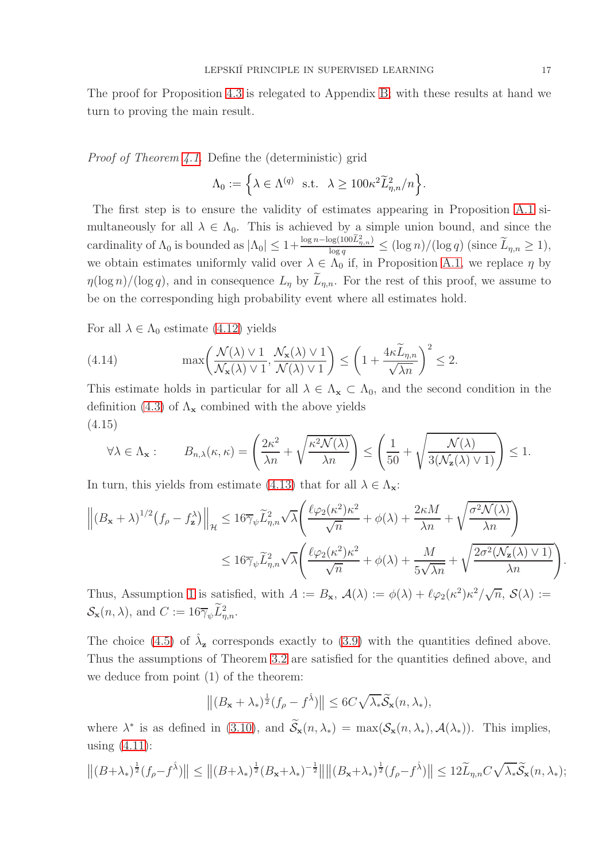The proof for Proposition [4.3](#page-15-3) is relegated to Appendix [B;](#page-24-0) with these results at hand we turn to proving the main result.

Proof of Theorem [4.1.](#page-13-1) Define the (deterministic) grid

$$
\Lambda_0 := \Big\{ \lambda \in \Lambda^{(q)} \ \text{ s.t. } \lambda \geq 100 \kappa^2 \widetilde{L}^2_{\eta,n} / n \Big\}.
$$

The first step is to ensure the validity of estimates appearing in Proposition [A.1](#page-18-0) simultaneously for all  $\lambda \in \Lambda_0$ . This is achieved by a simple union bound, and since the cardinality of  $\Lambda_0$  is bounded as  $|\Lambda_0| \leq 1+\frac{\log n-\log(100\tilde{L}_{\eta,n}^2)}{\log q} \leq (\log n)/(\log q)$  (since  $\widetilde{L}_{\eta,n} \geq 1$ ), we obtain estimates uniformly valid over  $\lambda \in \Lambda_0$  if, in Proposition [A.1,](#page-18-0) we replace  $\eta$  by  $\eta(\log n)/(\log q)$ , and in consequence  $L_n$  by  $L_{n,n}$ . For the rest of this proof, we assume to be on the corresponding high probability event where all estimates hold.

For all  $\lambda \in \Lambda_0$  estimate [\(4.12\)](#page-15-2) yields

<span id="page-16-0"></span>(4.14) 
$$
\max\left(\frac{\mathcal{N}(\lambda) \vee 1}{\mathcal{N}_{\mathbf{x}}(\lambda) \vee 1}, \frac{\mathcal{N}_{\mathbf{x}}(\lambda) \vee 1}{\mathcal{N}(\lambda) \vee 1}\right) \le \left(1 + \frac{4\kappa \widetilde{L}_{\eta,n}}{\sqrt{\lambda n}}\right)^2 \le 2.
$$

This estimate holds in particular for all  $\lambda \in \Lambda_{\mathbf{x}} \subset \Lambda_0$ , and the second condition in the definition [\(4.3\)](#page-12-1) of  $\Lambda_{\mathbf{x}}$  combined with the above yields (4.15)

$$
\forall \lambda \in \Lambda_{\mathbf{x}} : \qquad B_{n,\lambda}(\kappa, \kappa) = \left(\frac{2\kappa^2}{\lambda n} + \sqrt{\frac{\kappa^2 \mathcal{N}(\lambda)}{\lambda n}}\right) \le \left(\frac{1}{50} + \sqrt{\frac{\mathcal{N}(\lambda)}{3(\mathcal{N}_{\mathbf{z}}(\lambda) \vee 1)}}\right) \le 1.
$$

In turn, this yields from estimate [\(4.13\)](#page-15-0) that for all  $\lambda \in \Lambda_{\mathbf{x}}$ :

$$
\left\| \left(B_{\mathbf{x}} + \lambda\right)^{1/2} \left(f_{\rho} - f_{\mathbf{z}}^{\lambda}\right) \right\|_{\mathcal{H}} \leq 16 \overline{\gamma}_{\psi} \widetilde{L}_{\eta,n}^{2} \sqrt{\lambda} \left( \frac{\ell \varphi_{2}(\kappa^{2}) \kappa^{2}}{\sqrt{n}} + \phi(\lambda) + \frac{2 \kappa M}{\lambda n} + \sqrt{\frac{\sigma^{2} \mathcal{N}(\lambda)}{\lambda n}} \right) \leq 16 \overline{\gamma}_{\psi} \widetilde{L}_{\eta,n}^{2} \sqrt{\lambda} \left( \frac{\ell \varphi_{2}(\kappa^{2}) \kappa^{2}}{\sqrt{n}} + \phi(\lambda) + \frac{M}{5\sqrt{\lambda n}} + \sqrt{\frac{2\sigma^{2}(\mathcal{N}_{\mathbf{z}}(\lambda) \vee 1)}{\lambda n}} \right).
$$

Thus, Assumption [1](#page-8-1) is satisfied, with  $A := B_{\mathbf{x}}, A(\lambda) := \phi(\lambda) + \ell \varphi_2(\kappa^2) \kappa^2 / \sqrt{n}, S(\lambda) :=$  $\mathcal{S}_{\mathbf{x}}(n,\lambda)$ , and  $C := 16\overline{\gamma}_{\psi} L_{\eta,n}^2$ .

The choice [\(4.5\)](#page-12-3) of  $\hat{\lambda}_z$  corresponds exactly to [\(3.9\)](#page-9-0) with the quantities defined above. Thus the assumptions of Theorem [3.2](#page-9-4) are satisfied for the quantities defined above, and we deduce from point (1) of the theorem:

$$
\left\| (B_{\mathbf{x}} + \lambda_*)^{\frac{1}{2}} (f_{\rho} - f^{\hat{\lambda}}) \right\| \le 6C \sqrt{\lambda_*} \widetilde{\mathcal{S}}_{\mathbf{x}}(n, \lambda_*),
$$

where  $\lambda^*$  is as defined in [\(3.10\)](#page-9-1), and  $\mathcal{S}_{\mathbf{x}}(n,\lambda_*) = \max(\mathcal{S}_{\mathbf{x}}(n,\lambda_*), \mathcal{A}(\lambda_*))$ . This implies, using  $(4.11)$ :

$$
\left\|(B+\lambda_*)^{\frac{1}{2}}(f_\rho-f^{\hat{\lambda}})\right\| \le \left\|(B+\lambda_*)^{\frac{1}{2}}(B_{\mathbf{x}}+\lambda_*)^{-\frac{1}{2}}\right\| \left\|(B_{\mathbf{x}}+\lambda_*)^{\frac{1}{2}}(f_\rho-f^{\hat{\lambda}})\right\| \le 12\widetilde{L}_{\eta,n}C\sqrt{\lambda_*}\widetilde{\mathcal{S}}_{\mathbf{x}}(n,\lambda_*);
$$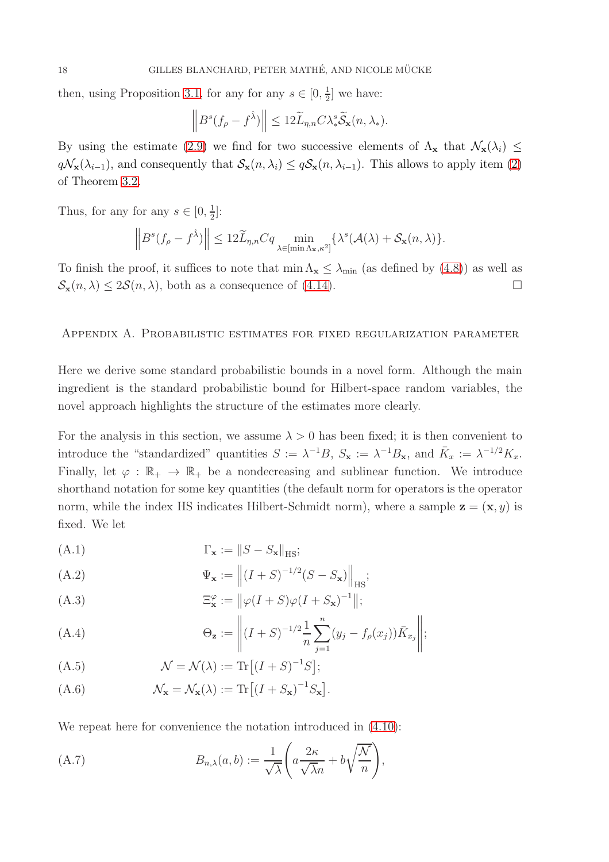then, using Proposition [3.1,](#page-8-2) for any for any  $s \in [0, \frac{1}{2}]$  $\frac{1}{2}$  we have:

$$
\left\|B^{s}(f_{\rho}-f^{\hat{\lambda}})\right\| \leq 12\widetilde{L}_{\eta,n}C\lambda_{*}^{s}\widetilde{\mathcal{S}}_{\mathbf{x}}(n,\lambda_{*}).
$$

By using the estimate [\(2.9\)](#page-7-4) we find for two successive elements of  $\Lambda_{\mathbf{x}}$  that  $\mathcal{N}_{\mathbf{x}}(\lambda_i) \leq$  $q\mathcal{N}_\mathbf{x}(\lambda_{i-1})$ , and consequently that  $\mathcal{S}_\mathbf{x}(n,\lambda_i) \leq q\mathcal{S}_\mathbf{x}(n,\lambda_{i-1})$ . This allows to apply item [\(2\)](#page-9-5) of Theorem [3.2.](#page-9-4)

Thus, for any for any  $s \in [0, \frac{1}{2}]$  $\frac{1}{2}$ :

$$
\left\|B^s(f_{\rho}-f^{\hat{\lambda}})\right\| \leq 12\widetilde{L}_{\eta,n}Cq \min_{\lambda \in [\min \Lambda_{\mathbf{x}}, \kappa^2]} \{\lambda^s(\mathcal{A}(\lambda)+\mathcal{S}_{\mathbf{x}}(n,\lambda)\}.
$$

To finish the proof, it suffices to note that  $\min \Lambda_{\mathbf{x}} \leq \lambda_{\min}$  (as defined by [\(4.8\)](#page-13-2)) as well as  $S_{\mathbf{x}}(n,\lambda) \leq 2\mathcal{S}(n,\lambda)$ , both as a consequence of [\(4.14\)](#page-16-0).

#### Appendix A. Probabilistic estimates for fixed regularization parameter

Here we derive some standard probabilistic bounds in a novel form. Although the main ingredient is the standard probabilistic bound for Hilbert-space random variables, the novel approach highlights the structure of the estimates more clearly.

For the analysis in this section, we assume  $\lambda > 0$  has been fixed; it is then convenient to introduce the "standardized" quantities  $S := \lambda^{-1}B$ ,  $S_{\mathbf{x}} := \lambda^{-1}B_{\mathbf{x}}$ , and  $\bar{K}_x := \lambda^{-1/2}K_x$ . Finally, let  $\varphi : \mathbb{R}_+ \to \mathbb{R}_+$  be a nondecreasing and sublinear function. We introduce shorthand notation for some key quantities (the default norm for operators is the operator norm, while the index HS indicates Hilbert-Schmidt norm), where a sample  $z = (x, y)$  is fixed. We let

$$
\Gamma_{\mathbf{x}} := \|S - S_{\mathbf{x}}\|_{\text{HS}};
$$

$$
\Psi_{\mathbf{x}} := \left\| (I + S)^{-1/2} (S - S_{\mathbf{x}}) \right\|_{\text{HS}};
$$

(A.3) 
$$
\Xi_{\mathbf{x}}^{\varphi} := ||\varphi(I+S)\varphi(I+S_{\mathbf{x}})^{-1}||;
$$

(A.4) 
$$
\Theta_{\mathbf{z}} := \left\| (I + S)^{-1/2} \frac{1}{n} \sum_{j=1}^{n} (y_j - f_{\rho}(x_j)) \bar{K}_{x_j} \right\|;
$$

<span id="page-17-0"></span>(A.5) 
$$
\mathcal{N} = \mathcal{N}(\lambda) := \text{Tr}\left[ (I + S)^{-1} S \right];
$$

<span id="page-17-1"></span>(A.6) 
$$
\mathcal{N}_{\mathbf{x}} = \mathcal{N}_{\mathbf{x}}(\lambda) := \text{Tr}\left[ (I + S_{\mathbf{x}})^{-1} S_{\mathbf{x}} \right].
$$

We repeat here for convenience the notation introduced in  $(4.10)$ :

(A.7) 
$$
B_{n,\lambda}(a,b) := \frac{1}{\sqrt{\lambda}} \left( a \frac{2\kappa}{\sqrt{\lambda}n} + b \sqrt{\frac{\mathcal{N}}{n}} \right),
$$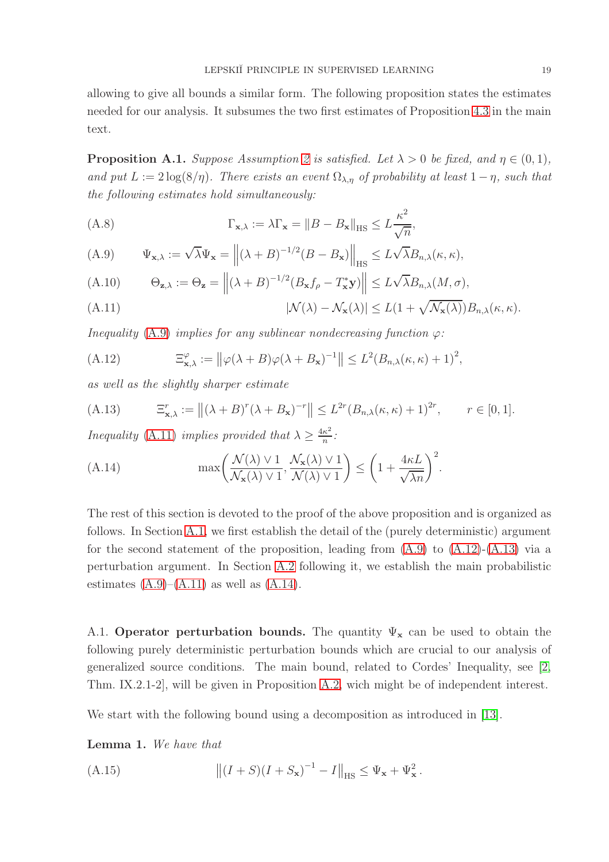allowing to give all bounds a similar form. The following proposition states the estimates needed for our analysis. It subsumes the two first estimates of Proposition [4.3](#page-15-3) in the main text.

<span id="page-18-0"></span>**Proposition A.1.** Suppose Assumption [2](#page-11-1) is satisfied. Let  $\lambda > 0$  be fixed, and  $\eta \in (0,1)$ , and put  $L := 2 \log(8/\eta)$ . There exists an event  $\Omega_{\lambda,\eta}$  of probability at least  $1 - \eta$ , such that the following estimates hold simultaneously:

<span id="page-18-9"></span>(A.8) 
$$
\Gamma_{\mathbf{x},\lambda} := \lambda \Gamma_{\mathbf{x}} = \|B - B_{\mathbf{x}}\|_{\text{HS}} \leq L \frac{\kappa^2}{\sqrt{n}},
$$

<span id="page-18-1"></span>(A.9) 
$$
\Psi_{\mathbf{x},\lambda} := \sqrt{\lambda} \Psi_{\mathbf{x}} = ||(\lambda + B)^{-1/2} (B - B_{\mathbf{x}})||_{\text{HS}} \leq L \sqrt{\lambda} B_{n,\lambda}(\kappa, \kappa),
$$

<span id="page-18-10"></span>(A.10) 
$$
\Theta_{\mathbf{z},\lambda} := \Theta_{\mathbf{z}} = \left\| (\lambda + B)^{-1/2} (B_{\mathbf{x}} f_{\rho} - T_{\mathbf{x}}^* \mathbf{y}) \right\| \le L \sqrt{\lambda} B_{n,\lambda}(M, \sigma),
$$

<span id="page-18-2"></span>(A.11) 
$$
|\mathcal{N}(\lambda) - \mathcal{N}_{\mathbf{x}}(\lambda)| \leq L(1 + \sqrt{\mathcal{N}_{\mathbf{x}}(\lambda)})B_{n,\lambda}(\kappa, \kappa).
$$

Inequality [\(A.9\)](#page-18-1) implies for any sublinear nondecreasing function  $\varphi$ :

<span id="page-18-4"></span>(A.12) 
$$
\Xi_{\mathbf{x},\lambda}^{\varphi} := \left\| \varphi(\lambda + B)\varphi(\lambda + B_{\mathbf{x}})^{-1} \right\| \leq L^2(B_{n,\lambda}(\kappa,\kappa) + 1)^2,
$$

as well as the slightly sharper estimate

<span id="page-18-5"></span>(A.13) 
$$
\Xi_{\mathbf{x},\lambda}^r := \|(\lambda + B)^r (\lambda + B_{\mathbf{x}})^{-r}\| \leq L^{2r} (B_{n,\lambda}(\kappa,\kappa) + 1)^{2r}, \qquad r \in [0,1].
$$

*Inequality* [\(A.11\)](#page-18-2) *implies provided that*  $\lambda \geq \frac{4\kappa^2}{n}$  $\frac{\kappa^2}{n}$ :

<span id="page-18-6"></span>(A.14) 
$$
\max\left(\frac{\mathcal{N}(\lambda) \vee 1}{\mathcal{N}_{\mathbf{x}}(\lambda) \vee 1}, \frac{\mathcal{N}_{\mathbf{x}}(\lambda) \vee 1}{\mathcal{N}(\lambda) \vee 1}\right) \leq \left(1 + \frac{4\kappa L}{\sqrt{\lambda n}}\right)^2.
$$

The rest of this section is devoted to the proof of the above proposition and is organized as follows. In Section [A.1,](#page-18-3) we first establish the detail of the (purely deterministic) argument for the second statement of the proposition, leading from  $(A.9)$  to  $(A.12)$ - $(A.13)$  via a perturbation argument. In Section [A.2](#page-21-0) following it, we establish the main probabilistic estimates  $(A.9)$ – $(A.11)$  as well as  $(A.14)$ .

<span id="page-18-3"></span>A.1. Operator perturbation bounds. The quantity  $\Psi_{\mathbf{x}}$  can be used to obtain the following purely deterministic perturbation bounds which are crucial to our analysis of generalized source conditions. The main bound, related to Cordes' Inequality, see [\[2,](#page-26-8) Thm. IX.2.1-2], will be given in Proposition [A.2,](#page-20-0) wich might be of independent interest.

We start with the following bound using a decomposition as introduced in [\[13\]](#page-27-14).

<span id="page-18-8"></span>Lemma 1. We have that

<span id="page-18-7"></span>(A.15) 
$$
\left\| (I + S)(I + S_{\mathbf{x}})^{-1} - I \right\|_{\text{HS}} \leq \Psi_{\mathbf{x}} + \Psi_{\mathbf{x}}^2.
$$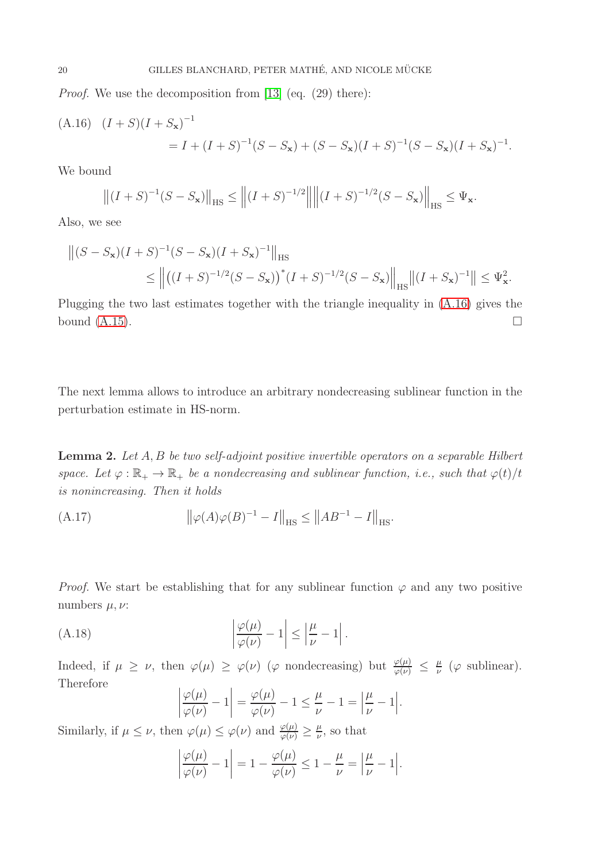Proof. We use the decomposition from [\[13\]](#page-27-14) (eq. (29) there):

<span id="page-19-0"></span>(A.16) 
$$
(I + S)(I + S_{\mathbf{x}})^{-1}
$$
  
=  $I + (I + S)^{-1}(S - S_{\mathbf{x}}) + (S - S_{\mathbf{x}})(I + S)^{-1}(S - S_{\mathbf{x}})(I + S_{\mathbf{x}})^{-1}$ .

We bound

$$
\left\| (I+S)^{-1} (S-S_{\mathbf{x}}) \right\|_{\text{HS}} \le \left\| (I+S)^{-1/2} \right\| \left\| (I+S)^{-1/2} (S-S_{\mathbf{x}}) \right\|_{\text{HS}} \le \Psi_{\mathbf{x}}.
$$

Also, we see

$$
\begin{aligned} \left\| (S - S_{\mathbf{x}})(I + S)^{-1}(S - S_{\mathbf{x}})(I + S_{\mathbf{x}})^{-1} \right\|_{\text{HS}} \\ &\leq \left\| \left( (I + S)^{-1/2}(S - S_{\mathbf{x}}) \right)^{*}(I + S)^{-1/2}(S - S_{\mathbf{x}}) \right\|_{\text{HS}} \left\| (I + S_{\mathbf{x}})^{-1} \right\| \leq \Psi_{\mathbf{x}}^{2} . \end{aligned}
$$

Plugging the two last estimates together with the triangle inequality in [\(A.16\)](#page-19-0) gives the bound  $(A.15)$ .

The next lemma allows to introduce an arbitrary nondecreasing sublinear function in the perturbation estimate in HS-norm.

<span id="page-19-3"></span>Lemma 2. Let A, B be two self-adjoint positive invertible operators on a separable Hilbert space. Let  $\varphi : \mathbb{R}_+ \to \mathbb{R}_+$  be a nondecreasing and sublinear function, i.e., such that  $\varphi(t)/t$ is nonincreasing. Then it holds

<span id="page-19-2"></span>(A.17) 
$$
\|\varphi(A)\varphi(B)^{-1} - I\|_{\text{HS}} \le \|AB^{-1} - I\|_{\text{HS}}.
$$

*Proof.* We start be establishing that for any sublinear function  $\varphi$  and any two positive numbers  $\mu, \nu$ :

(A.18) 
$$
\left|\frac{\varphi(\mu)}{\varphi(\nu)}-1\right| \le \left|\frac{\mu}{\nu}-1\right|.
$$

Indeed, if  $\mu \geq \nu$ , then  $\varphi(\mu) \geq \varphi(\nu)$  ( $\varphi$  nondecreasing) but  $\frac{\varphi(\mu)}{\varphi(\nu)} \leq \frac{\mu}{\nu}$  $\frac{\mu}{\nu}$  ( $\varphi$  sublinear). Therefore

<span id="page-19-1"></span>
$$
\left|\frac{\varphi(\mu)}{\varphi(\nu)}-1\right|=\frac{\varphi(\mu)}{\varphi(\nu)}-1\leq \frac{\mu}{\nu}-1=\left|\frac{\mu}{\nu}-1\right|.
$$

Similarly, if  $\mu \leq \nu$ , then  $\varphi(\mu) \leq \varphi(\nu)$  and  $\frac{\varphi(\mu)}{\varphi(\nu)} \geq \frac{\mu}{\nu}$  $\frac{\mu}{\nu}$ , so that

$$
\left|\frac{\varphi(\mu)}{\varphi(\nu)}-1\right|=1-\frac{\varphi(\mu)}{\varphi(\nu)}\leq 1-\frac{\mu}{\nu}=\left|\frac{\mu}{\nu}-1\right|.
$$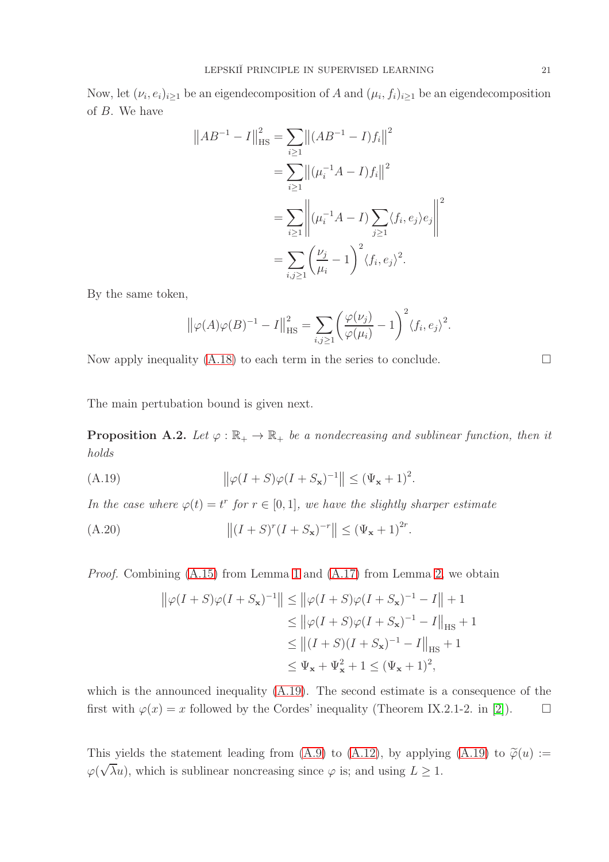Now, let  $(\nu_i, e_i)_{i \geq 1}$  be an eigendecomposition of A and  $(\mu_i, f_i)_{i \geq 1}$  be an eigendecomposition of B. We have

$$
||AB^{-1} - I||_{\text{HS}}^2 = \sum_{i\geq 1} ||(AB^{-1} - I)f_i||^2
$$
  
= 
$$
\sum_{i\geq 1} ||(\mu_i^{-1}A - I)f_i||^2
$$
  
= 
$$
\sum_{i\geq 1} ||(\mu_i^{-1}A - I) \sum_{j\geq 1} \langle f_i, e_j \rangle e_j||^2
$$
  
= 
$$
\sum_{i,j\geq 1} \left(\frac{\nu_j}{\mu_i} - 1\right)^2 \langle f_i, e_j \rangle^2.
$$

By the same token,

$$
\left\| \varphi(A)\varphi(B)^{-1} - I \right\|_{\text{HS}}^2 = \sum_{i,j \ge 1} \left( \frac{\varphi(\nu_j)}{\varphi(\mu_i)} - 1 \right)^2 \langle f_i, e_j \rangle^2
$$

Now apply inequality  $(A.18)$  to each term in the series to conclude.  $\Box$ 

The main pertubation bound is given next.

<span id="page-20-0"></span>**Proposition A.2.** Let  $\varphi : \mathbb{R}_+ \to \mathbb{R}_+$  be a nondecreasing and sublinear function, then it holds

<span id="page-20-1"></span>(A.19) 
$$
\|\varphi(I+S)\varphi(I+S_{\mathbf{x}})^{-1}\| \leq (\Psi_{\mathbf{x}}+1)^2.
$$

In the case where  $\varphi(t) = t^r$  for  $r \in [0, 1]$ , we have the slightly sharper estimate

(A.20) 
$$
||(I + S)^{r}(I + S_{\mathbf{x}})^{-r}|| \leq (\Psi_{\mathbf{x}} + 1)^{2r}
$$

Proof. Combining [\(A.15\)](#page-18-7) from Lemma [1](#page-18-8) and [\(A.17\)](#page-19-2) from Lemma [2,](#page-19-3) we obtain

$$
\|\varphi(I+S)\varphi(I+S_{\mathbf{x}})^{-1}\| \le \|\varphi(I+S)\varphi(I+S_{\mathbf{x}})^{-1} - I\| + 1
$$
  
\n
$$
\le \|\varphi(I+S)\varphi(I+S_{\mathbf{x}})^{-1} - I\|_{\text{HS}} + 1
$$
  
\n
$$
\le \|(I+S)(I+S_{\mathbf{x}})^{-1} - I\|_{\text{HS}} + 1
$$
  
\n
$$
\le \Psi_{\mathbf{x}} + \Psi_{\mathbf{x}}^2 + 1 \le (\Psi_{\mathbf{x}} + 1)^2,
$$

which is the announced inequality [\(A.19\)](#page-20-1). The second estimate is a consequence of the first with  $\varphi(x) = x$  followed by the Cordes' inequality (Theorem IX.2.1-2. in [\[2\]](#page-26-8)).  $\Box$ 

This yields the statement leading from [\(A.9\)](#page-18-1) to [\(A.12\)](#page-18-4), by applying [\(A.19\)](#page-20-1) to  $\tilde{\varphi}(u) :=$  $\varphi(\sqrt{\lambda}u)$ , which is sublinear noncreasing since  $\varphi$  is; and using  $L \geq 1$ .

.

.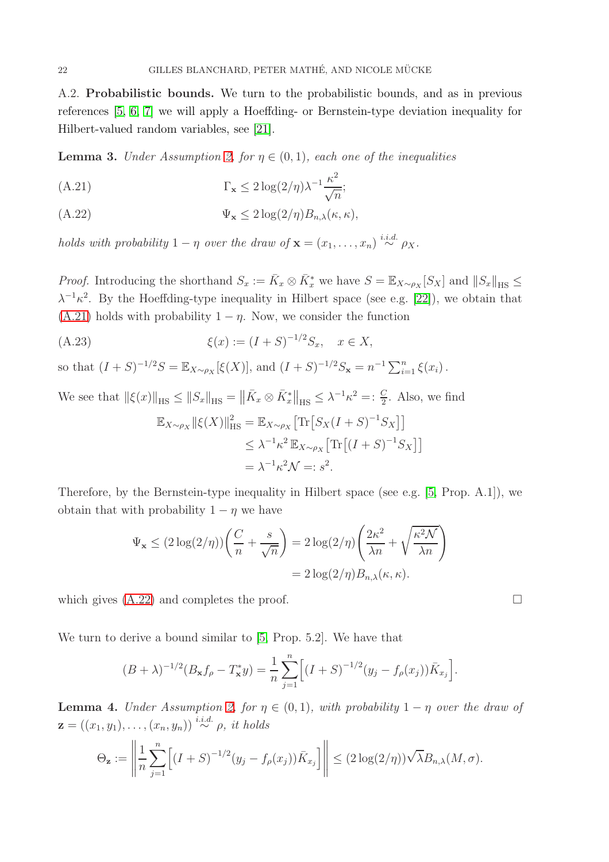<span id="page-21-0"></span>A.2. Probabilistic bounds. We turn to the probabilistic bounds, and as in previous references [\[5,](#page-26-0) [6,](#page-26-2) [7\]](#page-26-3) we will apply a Hoeffding- or Bernstein-type deviation inequality for Hilbert-valued random variables, see [\[21\]](#page-27-15).

<span id="page-21-3"></span>**Lemma 3.** Under Assumption [2,](#page-11-1) for  $\eta \in (0,1)$ , each one of the inequalities

<span id="page-21-1"></span>(A.21) 
$$
\Gamma_{\mathbf{x}} \leq 2 \log(2/\eta) \lambda^{-1} \frac{\kappa^2}{\sqrt{n}};
$$

<span id="page-21-2"></span>
$$
(A.22) \t\t \Psi_{\mathbf{x}} \leq 2\log(2/\eta)B_{n,\lambda}(\kappa,\kappa),
$$

holds with probability  $1 - \eta$  over the draw of  $\mathbf{x} = (x_1, \dots, x_n) \stackrel{i.i.d.}{\sim} \rho_X$ .

*Proof.* Introducing the shorthand  $S_x := \bar{K}_x \otimes \bar{K}_x^*$  we have  $S = \mathbb{E}_{X \sim \rho_X}[S_X]$  and  $||S_x||_{\text{HS}} \le$  $\lambda^{-1} \kappa^2$ . By the Hoeffding-type inequality in Hilbert space (see e.g. [\[22\]](#page-27-16)), we obtain that [\(A.21\)](#page-21-1) holds with probability  $1 - \eta$ . Now, we consider the function

(A.23) 
$$
\xi(x) := (I + S)^{-1/2} S_x, \quad x \in X,
$$

so that  $(I + S)^{-1/2}S = \mathbb{E}_{X \sim \rho_X}[\xi(X)]$ , and  $(I + S)^{-1/2}S_x = n^{-1} \sum_{i=1}^n \xi(x_i)$ .

We see that 
$$
\|\xi(x)\|_{\text{HS}} \le \|S_x\|_{\text{HS}} = \|\bar{K}_x \otimes \bar{K}_x^*\|_{\text{HS}} \le \lambda^{-1}\kappa^2 =: \frac{C}{2}
$$
. Also, we find\n
$$
\mathbb{E}_{X \sim \rho_X} \|\xi(X)\|_{\text{HS}}^2 = \mathbb{E}_{X \sim \rho_X} \left[ \text{Tr}\left[S_X(I+S)^{-1}S_X\right] \right]
$$
\n
$$
\le \lambda^{-1}\kappa^2 \mathbb{E}_{X \sim \rho_X} \left[ \text{Tr}\left[(I+S)^{-1}S_X\right] \right]
$$
\n
$$
= \lambda^{-1}\kappa^2 \mathcal{N} =: s^2.
$$

Therefore, by the Bernstein-type inequality in Hilbert space (see e.g. [\[5,](#page-26-0) Prop. A.1]), we obtain that with probability  $1 - \eta$  we have

$$
\Psi_{\mathbf{x}} \le (2\log(2/\eta))\left(\frac{C}{n} + \frac{s}{\sqrt{n}}\right) = 2\log(2/\eta)\left(\frac{2\kappa^2}{\lambda n} + \sqrt{\frac{\kappa^2\mathcal{N}}{\lambda n}}\right)
$$

$$
= 2\log(2/\eta)B_{n,\lambda}(\kappa,\kappa).
$$

which gives  $(A.22)$  and completes the proof.

We turn to derive a bound similar to [\[5,](#page-26-0) Prop. 5.2]. We have that

$$
(B + \lambda)^{-1/2} (B_{\mathbf{x}} f_{\rho} - T_{\mathbf{x}}^* y) = \frac{1}{n} \sum_{j=1}^n \Big[ (I + S)^{-1/2} (y_j - f_{\rho}(x_j)) \overline{K}_{x_j} \Big].
$$

<span id="page-21-4"></span>**Lemma 4.** Under Assumption [2,](#page-11-1) for  $\eta \in (0,1)$ , with probability  $1 - \eta$  over the draw of  $\mathbf{z} = ((x_1, y_1), \ldots, (x_n, y_n)) \stackrel{i.i.d.}{\sim} \rho, \text{ it holds}$ 

$$
\Theta_{\mathbf{z}} := \left\| \frac{1}{n} \sum_{j=1}^n \left[ (I + S)^{-1/2} (y_j - f_{\rho}(x_j)) \bar{K}_{x_j} \right] \right\| \leq (2 \log(2/\eta)) \sqrt{\lambda} B_{n,\lambda}(M, \sigma).
$$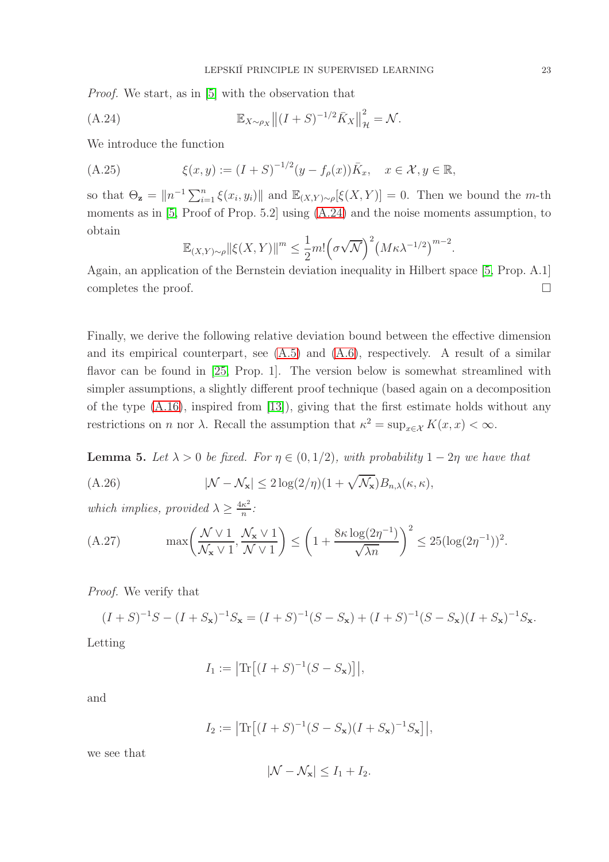Proof. We start, as in [\[5\]](#page-26-0) with the observation that

(A.24) 
$$
\mathbb{E}_{X \sim \rho_X} || (I + S)^{-1/2} \bar{K}_X ||_{\mathcal{H}}^2 = \mathcal{N}.
$$

We introduce the function

(A.25) 
$$
\xi(x, y) := (I + S)^{-1/2} (y - f_{\rho}(x)) \bar{K}_x, \quad x \in \mathcal{X}, y \in \mathbb{R},
$$

so that  $\Theta_{\mathbf{z}} = ||n^{-1} \sum_{i=1}^n \xi(x_i, y_i)||$  and  $\mathbb{E}_{(X,Y)\sim\rho}[\xi(X, Y)] = 0$ . Then we bound the *m*-th moments as in [\[5,](#page-26-0) Proof of Prop. 5.2] using [\(A.24\)](#page-22-0) and the noise moments assumption, to obtain

<span id="page-22-0"></span>
$$
\mathbb{E}_{(X,Y)\sim\rho} \|\xi(X,Y)\|^m \le \frac{1}{2}m! \left(\sigma\sqrt{\mathcal{N}}\right)^2 \left(M\kappa\lambda^{-1/2}\right)^{m-2}
$$

Again, an application of the Bernstein deviation inequality in Hilbert space [\[5,](#page-26-0) Prop. A.1] completes the proof.  $\Box$ 

Finally, we derive the following relative deviation bound between the effective dimension and its empirical counterpart, see [\(A.5\)](#page-17-0) and [\(A.6\)](#page-17-1), respectively. A result of a similar flavor can be found in [\[25,](#page-27-17) Prop. 1]. The version below is somewhat streamlined with simpler assumptions, a slightly different proof technique (based again on a decomposition of the type [\(A.16\)](#page-19-0), inspired from [\[13\]](#page-27-14)), giving that the first estimate holds without any restrictions on *n* nor  $\lambda$ . Recall the assumption that  $\kappa^2 = \sup_{x \in \mathcal{X}} K(x, x) < \infty$ .

<span id="page-22-2"></span>**Lemma 5.** Let  $\lambda > 0$  be fixed. For  $\eta \in (0, 1/2)$ , with probability  $1 - 2\eta$  we have that

<span id="page-22-1"></span>(A.26) 
$$
|\mathcal{N} - \mathcal{N}_{\mathbf{x}}| \leq 2 \log(2/\eta)(1 + \sqrt{\mathcal{N}_{\mathbf{x}}}) B_{n,\lambda}(\kappa, \kappa),
$$

which implies, provided  $\lambda \geq \frac{4\kappa^2}{n}$  $\frac{\kappa^2}{n}$ :

(A.27) 
$$
\max\left(\frac{\mathcal{N} \vee 1}{\mathcal{N}_x \vee 1}, \frac{\mathcal{N}_x \vee 1}{\mathcal{N} \vee 1}\right) \le \left(1 + \frac{8\kappa \log(2\eta^{-1})}{\sqrt{\lambda n}}\right)^2 \le 25(\log(2\eta^{-1}))^2.
$$

Proof. We verify that

$$
(I + S)^{-1}S - (I + S_{\mathbf{x}})^{-1}S_{\mathbf{x}} = (I + S)^{-1}(S - S_{\mathbf{x}}) + (I + S)^{-1}(S - S_{\mathbf{x}})(I + S_{\mathbf{x}})^{-1}S_{\mathbf{x}}.
$$

Letting

$$
I_1 := \left| \text{Tr} \left[ (I + S)^{-1} (S - S_{\mathbf{x}}) \right] \right|,
$$

and

$$
I_2 := \left| \text{Tr} \left[ (I + S)^{-1} (S - S_{\mathbf{x}}) (I + S_{\mathbf{x}})^{-1} S_{\mathbf{x}} \right] \right|,
$$

we see that

$$
|\mathcal{N} - \mathcal{N}_{\mathbf{x}}| \le I_1 + I_2.
$$

.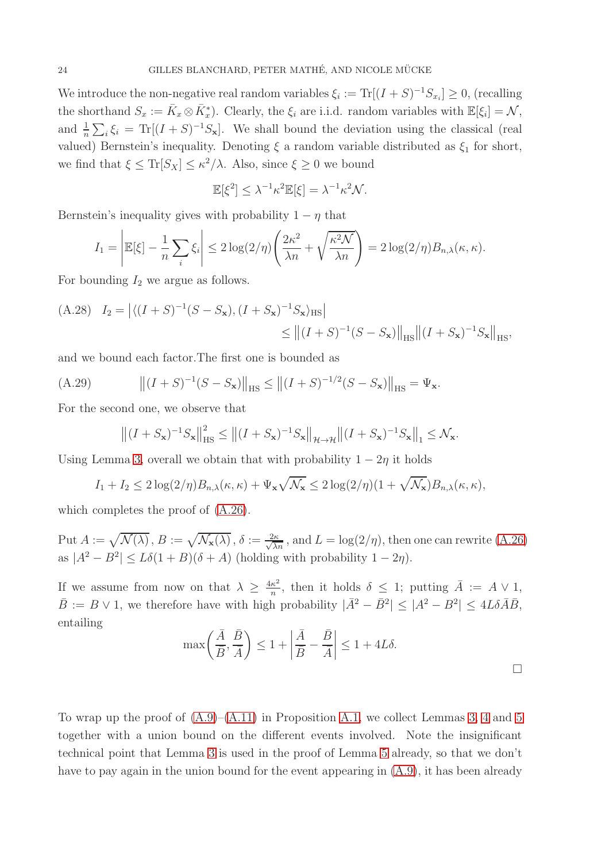We introduce the non-negative real random variables  $\xi_i := \text{Tr}[(I + S)^{-1}S_{x_i}] \geq 0$ , (recalling the shorthand  $S_x := \overline{K}_x \otimes \overline{K}_x^*$ . Clearly, the  $\xi_i$  are i.i.d. random variables with  $\mathbb{E}[\xi_i] = \mathcal{N}$ , and  $\frac{1}{n}\sum_i \xi_i = \text{Tr}[(I+S)^{-1}S_{\mathbf{x}}]$ . We shall bound the deviation using the classical (real valued) Bernstein's inequality. Denoting  $\xi$  a random variable distributed as  $\xi_1$  for short, we find that  $\xi \leq \text{Tr}[S_X] \leq \kappa^2/\lambda$ . Also, since  $\xi \geq 0$  we bound

$$
\mathbb{E}[\xi^2] \leq \lambda^{-1} \kappa^2 \mathbb{E}[\xi] = \lambda^{-1} \kappa^2 \mathcal{N}.
$$

Bernstein's inequality gives with probability  $1 - \eta$  that

$$
I_1 = \left| \mathbb{E}[\xi] - \frac{1}{n} \sum_i \xi_i \right| \le 2 \log(2/\eta) \left( \frac{2\kappa^2}{\lambda n} + \sqrt{\frac{\kappa^2 \mathcal{N}}{\lambda n}} \right) = 2 \log(2/\eta) B_{n,\lambda}(\kappa, \kappa).
$$

For bounding  $I_2$  we argue as follows.

(A.28) 
$$
I_2 = |\langle (I + S)^{-1}(S - S_{\mathbf{x}}), (I + S_{\mathbf{x}})^{-1} S_{\mathbf{x}} \rangle_{HS}|
$$
  
\n
$$
\leq ||(I + S)^{-1}(S - S_{\mathbf{x}})||_{HS} ||(I + S_{\mathbf{x}})^{-1} S_{\mathbf{x}}||_{HS},
$$

and we bound each factor.The first one is bounded as

(A.29) 
$$
\left\| (I + S)^{-1} (S - S_{\mathbf{x}}) \right\|_{\text{HS}} \le \left\| (I + S)^{-1/2} (S - S_{\mathbf{x}}) \right\|_{\text{HS}} = \Psi_{\mathbf{x}}.
$$

For the second one, we observe that

$$
\left\| (I + S_{\mathbf{x}})^{-1} S_{\mathbf{x}} \right\|_{\text{HS}}^2 \le \left\| (I + S_{\mathbf{x}})^{-1} S_{\mathbf{x}} \right\|_{\mathcal{H} \to \mathcal{H}} \left\| (I + S_{\mathbf{x}})^{-1} S_{\mathbf{x}} \right\|_1 \le \mathcal{N}_{\mathbf{x}}.
$$

Using Lemma [3,](#page-21-3) overall we obtain that with probability  $1 - 2\eta$  it holds

$$
I_1 + I_2 \leq 2\log(2/\eta)B_{n,\lambda}(\kappa,\kappa) + \Psi_{\mathbf{x}}\sqrt{\mathcal{N}_{\mathbf{x}}} \leq 2\log(2/\eta)(1+\sqrt{\mathcal{N}_{\mathbf{x}}})B_{n,\lambda}(\kappa,\kappa),
$$

which completes the proof of  $(A.26)$ .

Put  $A := \sqrt{\mathcal{N}(\lambda)}$ ,  $B := \sqrt{\mathcal{N}_{\mathbf{x}}(\lambda)}$ ,  $\delta := \frac{2\kappa}{\sqrt{\lambda n}}$ , and  $L = \log(2/\eta)$ , then one can rewrite [\(A.26\)](#page-22-1) as  $|A^2 - B^2| \le L\delta(1+B)(\delta+A)$  (holding with probability  $1-2\eta$ ).

If we assume from now on that  $\lambda \geq \frac{4\kappa^2}{n}$  $\frac{\kappa^2}{n}$ , then it holds  $\delta \leq 1$ ; putting  $\bar{A} := A \vee 1$ ,  $\bar{B} := B \vee 1$ , we therefore have with high probability  $|\bar{A}^2 - \bar{B}^2| \leq |A^2 - B^2| \leq 4L\delta\bar{A}\bar{B}$ , entailing

$$
\max\left(\frac{\bar{A}}{\bar{B}},\frac{\bar{B}}{\bar{A}}\right) \le 1 + \left|\frac{\bar{A}}{\bar{B}} - \frac{\bar{B}}{\bar{A}}\right| \le 1 + 4L\delta.
$$

To wrap up the proof of  $(A.9)$ – $(A.11)$  in Proposition [A.1,](#page-18-0) we collect Lemmas [3,](#page-21-3) [4](#page-21-4) and [5](#page-22-2) together with a union bound on the different events involved. Note the insignificant technical point that Lemma [3](#page-21-3) is used in the proof of Lemma [5](#page-22-2) already, so that we don't have to pay again in the union bound for the event appearing in  $(A.9)$ , it has been already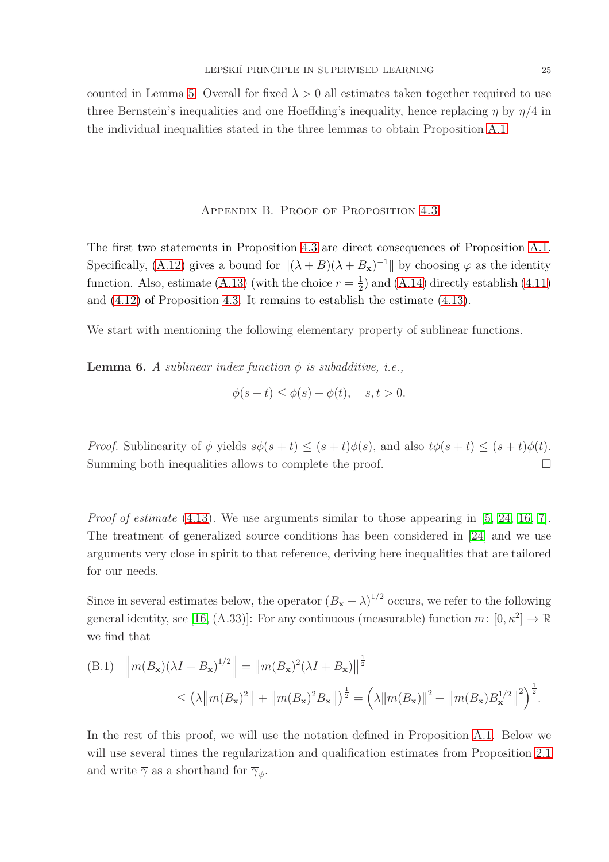counted in Lemma [5.](#page-22-2) Overall for fixed  $\lambda > 0$  all estimates taken together required to use three Bernstein's inequalities and one Hoeffding's inequality, hence replacing  $\eta$  by  $\eta/4$  in the individual inequalities stated in the three lemmas to obtain Proposition [A.1.](#page-18-0)

## Appendix B. Proof of Proposition [4.3](#page-15-3)

<span id="page-24-0"></span>The first two statements in Proposition [4.3](#page-15-3) are direct consequences of Proposition [A.1.](#page-18-0) Specifically, [\(A.12\)](#page-18-4) gives a bound for  $\|(\lambda + B)(\lambda + B_x)^{-1}\|$  by choosing  $\varphi$  as the identity function. Also, estimate [\(A.13\)](#page-18-5) (with the choice  $r=\frac{1}{2}$  $\frac{1}{2}$ ) and [\(A.14\)](#page-18-6) directly establish [\(4.11\)](#page-15-1) and [\(4.12\)](#page-15-2) of Proposition [4.3.](#page-15-3) It remains to establish the estimate [\(4.13\)](#page-15-0).

We start with mentioning the following elementary property of sublinear functions.

<span id="page-24-2"></span>**Lemma 6.** A sublinear index function  $\phi$  is subadditive, i.e.,

$$
\phi(s+t) \le \phi(s) + \phi(t), \quad s, t > 0.
$$

*Proof.* Sublinearity of  $\phi$  yields  $s\phi(s+t) \leq (s+t)\phi(s)$ , and also  $t\phi(s+t) \leq (s+t)\phi(t)$ . Summing both inequalities allows to complete the proof.

*Proof of estimate* [\(4.13\)](#page-15-0). We use arguments similar to those appearing in [\[5,](#page-26-0) [24,](#page-27-18) [16,](#page-27-7) [7\]](#page-26-3). The treatment of generalized source conditions has been considered in [\[24\]](#page-27-18) and we use arguments very close in spirit to that reference, deriving here inequalities that are tailored for our needs.

Since in several estimates below, the operator  $(B_x + \lambda)^{1/2}$  occurs, we refer to the following general identity, see [\[16,](#page-27-7) (A.33)]: For any continuous (measurable) function  $m: [0, \kappa^2] \to \mathbb{R}$ we find that

<span id="page-24-1"></span>(B.1) 
$$
\left\|m(B_{\mathbf{x}})(\lambda I + B_{\mathbf{x}})^{1/2}\right\| = \left\|m(B_{\mathbf{x}})^{2}(\lambda I + B_{\mathbf{x}})\right\|^{1/2}
$$
  
\n $\leq \left(\lambda\left\|m(B_{\mathbf{x}})^{2}\right\| + \left\|m(B_{\mathbf{x}})^{2}B_{\mathbf{x}}\right\|\right)^{\frac{1}{2}} = \left(\lambda\|m(B_{\mathbf{x}})\|^{2} + \left\|m(B_{\mathbf{x}})B_{\mathbf{x}}^{1/2}\right\|^{2}\right)^{\frac{1}{2}}.$ 

In the rest of this proof, we will use the notation defined in Proposition [A.1.](#page-18-0) Below we will use several times the regularization and qualification estimates from Proposition [2.1](#page-6-0) and write  $\overline{\gamma}$  as a shorthand for  $\overline{\gamma}_{\psi}$ .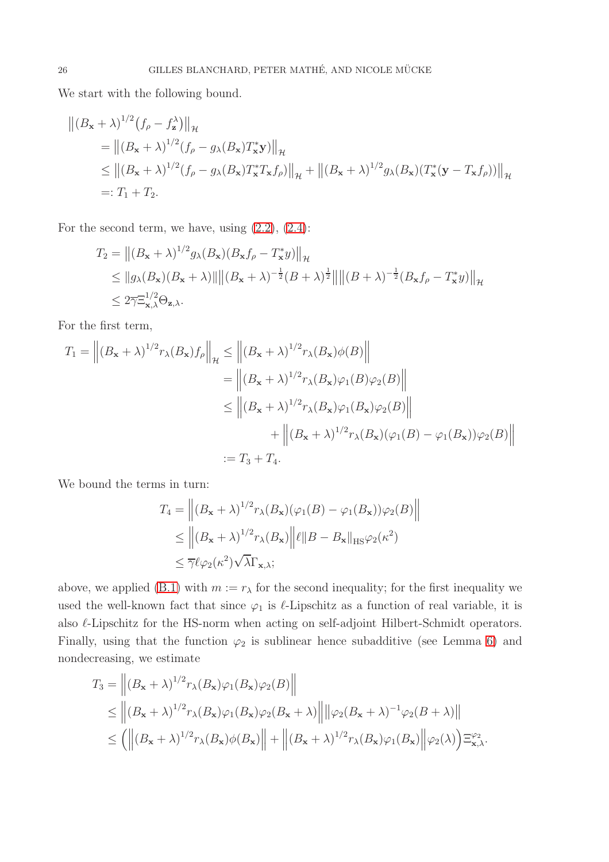We start with the following bound.

$$
\begin{aligned} \left\| (B_{\mathbf{x}} + \lambda)^{1/2} (f_{\rho} - f_{\mathbf{z}}^{\lambda}) \right\|_{\mathcal{H}} \\ &= \left\| (B_{\mathbf{x}} + \lambda)^{1/2} (f_{\rho} - g_{\lambda}(B_{\mathbf{x}}) T_{\mathbf{x}}^{*} \mathbf{y}) \right\|_{\mathcal{H}} \\ &\leq \left\| (B_{\mathbf{x}} + \lambda)^{1/2} (f_{\rho} - g_{\lambda}(B_{\mathbf{x}}) T_{\mathbf{x}}^{*} T_{\mathbf{x}} f_{\rho}) \right\|_{\mathcal{H}} + \left\| (B_{\mathbf{x}} + \lambda)^{1/2} g_{\lambda}(B_{\mathbf{x}}) (T_{\mathbf{x}}^{*} (\mathbf{y} - T_{\mathbf{x}} f_{\rho})) \right\|_{\mathcal{H}} \\ &=: T_{1} + T_{2}. \end{aligned}
$$

For the second term, we have, using  $(2.2)$ ,  $(2.4)$ :

$$
T_2 = ||(B_{\mathbf{x}} + \lambda)^{1/2} g_\lambda(B_{\mathbf{x}})(B_{\mathbf{x}} f_\rho - T_{\mathbf{x}}^* y)||_{{\mathcal{H}}} \le ||g_\lambda(B_{\mathbf{x}})(B_{\mathbf{x}} + \lambda)|| ||(B_{\mathbf{x}} + \lambda)^{-\frac{1}{2}} (B + \lambda)^{\frac{1}{2}} || ||(B + \lambda)^{-\frac{1}{2}} (B_{\mathbf{x}} f_\rho - T_{\mathbf{x}}^* y)||_{{\mathcal{H}}} \le 2 \overline{\gamma} \Xi_{\mathbf{x},\lambda}^{1/2} \Theta_{\mathbf{z},\lambda}.
$$

For the first term,

$$
T_1 = \left\| (B_{\mathbf{x}} + \lambda)^{1/2} r_{\lambda} (B_{\mathbf{x}}) f_{\rho} \right\|_{\mathcal{H}} \le \left\| (B_{\mathbf{x}} + \lambda)^{1/2} r_{\lambda} (B_{\mathbf{x}}) \phi(B) \right\|
$$
  
\n
$$
= \left\| (B_{\mathbf{x}} + \lambda)^{1/2} r_{\lambda} (B_{\mathbf{x}}) \varphi_1(B) \varphi_2(B) \right\|
$$
  
\n
$$
\le \left\| (B_{\mathbf{x}} + \lambda)^{1/2} r_{\lambda} (B_{\mathbf{x}}) \varphi_1(B_{\mathbf{x}}) \varphi_2(B) \right\|
$$
  
\n
$$
+ \left\| (B_{\mathbf{x}} + \lambda)^{1/2} r_{\lambda} (B_{\mathbf{x}}) (\varphi_1(B) - \varphi_1(B_{\mathbf{x}})) \varphi_2(B) \right\|
$$
  
\n
$$
:= T_3 + T_4.
$$

We bound the terms in turn:

$$
T_4 = \left\| (B_{\mathbf{x}} + \lambda)^{1/2} r_{\lambda}(B_{\mathbf{x}}) (\varphi_1(B) - \varphi_1(B_{\mathbf{x}})) \varphi_2(B) \right\|
$$
  
\$\leq\$ 
$$
\left\| (B_{\mathbf{x}} + \lambda)^{1/2} r_{\lambda}(B_{\mathbf{x}}) \right\| \ell \| B - B_{\mathbf{x}} \|_{\text{HS}} \varphi_2(\kappa^2)
$$
  
\$\leq\$ 
$$
\overline{\gamma} \ell \varphi_2(\kappa^2) \sqrt{\lambda} \Gamma_{\mathbf{x}, \lambda};
$$

above, we applied [\(B.1\)](#page-24-1) with  $m := r_{\lambda}$  for the second inequality; for the first inequality we used the well-known fact that since  $\varphi_1$  is  $\ell$ -Lipschitz as a function of real variable, it is also  $\ell$ -Lipschitz for the HS-norm when acting on self-adjoint Hilbert-Schmidt operators. Finally, using that the function  $\varphi_2$  is sublinear hence subadditive (see Lemma [6\)](#page-24-2) and nondecreasing, we estimate

$$
T_3 = \left\| (B_{\mathbf{x}} + \lambda)^{1/2} r_{\lambda} (B_{\mathbf{x}}) \varphi_1 (B_{\mathbf{x}}) \varphi_2 (B) \right\|
$$
  
\n
$$
\leq \left\| (B_{\mathbf{x}} + \lambda)^{1/2} r_{\lambda} (B_{\mathbf{x}}) \varphi_1 (B_{\mathbf{x}}) \varphi_2 (B_{\mathbf{x}} + \lambda) \right\| \left\| \varphi_2 (B_{\mathbf{x}} + \lambda)^{-1} \varphi_2 (B + \lambda) \right\|
$$
  
\n
$$
\leq \left( \left\| (B_{\mathbf{x}} + \lambda)^{1/2} r_{\lambda} (B_{\mathbf{x}}) \phi (B_{\mathbf{x}}) \right\| + \left\| (B_{\mathbf{x}} + \lambda)^{1/2} r_{\lambda} (B_{\mathbf{x}}) \varphi_1 (B_{\mathbf{x}}) \right\| \varphi_2 (\lambda) \right) \Xi_{\mathbf{x}, \lambda}^{\varphi_2}.
$$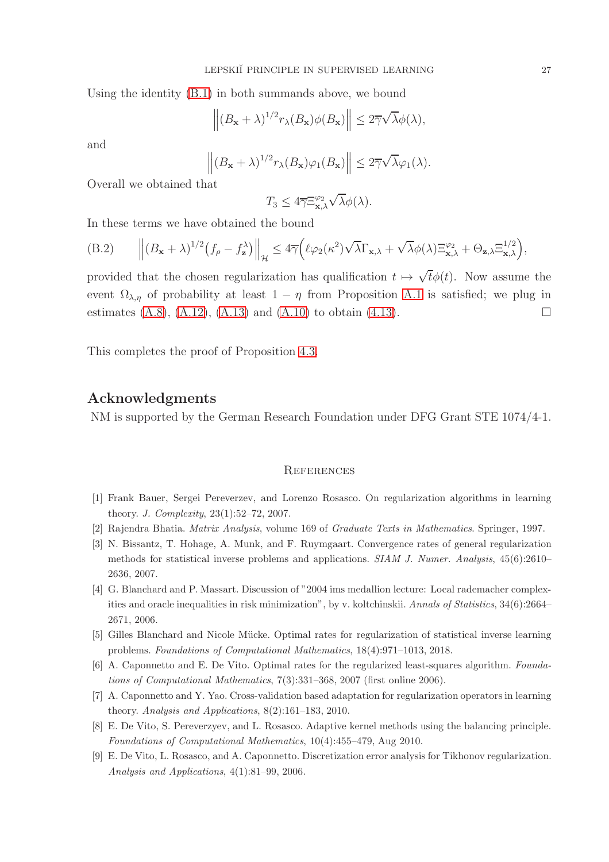Using the identity [\(B.1\)](#page-24-1) in both summands above, we bound

$$
\left\| (B_{\mathbf{x}} + \lambda)^{1/2} r_{\lambda}(B_{\mathbf{x}}) \phi(B_{\mathbf{x}}) \right\| \leq 2 \overline{\gamma} \sqrt{\lambda} \phi(\lambda),
$$

and

$$
\left\|(B_{\mathbf{x}}+\lambda)^{1/2}r_{\lambda}(B_{\mathbf{x}})\varphi_1(B_{\mathbf{x}})\right\|\leq 2\overline{\gamma}\sqrt{\lambda}\varphi_1(\lambda).
$$

Overall we obtained that

$$
T_3 \leq 4 \overline{\gamma} \Xi^{\varphi_2}_{\mathbf{x},\lambda} \sqrt{\lambda} \phi(\lambda).
$$

In these terms we have obtained the bound

(B.2) 
$$
\left\| (B_{\mathbf{x}} + \lambda)^{1/2} (f_{\rho} - f_{\mathbf{z}}^{\lambda}) \right\|_{\mathcal{H}} \leq 4 \overline{\gamma} \left( \ell \varphi_2(\kappa^2) \sqrt{\lambda} \Gamma_{\mathbf{x},\lambda} + \sqrt{\lambda} \phi(\lambda) \Xi_{\mathbf{x},\lambda}^{\varphi_2} + \Theta_{\mathbf{z},\lambda} \Xi_{\mathbf{x},\lambda}^{1/2} \right),
$$

provided that the chosen regularization has qualification  $t \mapsto \sqrt{t}\phi(t)$ . Now assume the event  $\Omega_{\lambda,\eta}$  of probability at least  $1 - \eta$  from Proposition [A.1](#page-18-0) is satisfied; we plug in estimates  $(A.8)$ ,  $(A.12)$ ,  $(A.13)$  and  $(A.10)$  to obtain  $(4.13)$ .

This completes the proof of Proposition [4.3.](#page-15-3)

## Acknowledgments

NM is supported by the German Research Foundation under DFG Grant STE 1074/4-1.

#### **REFERENCES**

- <span id="page-26-8"></span><span id="page-26-4"></span>[1] Frank Bauer, Sergei Pereverzev, and Lorenzo Rosasco. On regularization algorithms in learning theory. *J. Complexity*, 23(1):52–72, 2007.
- <span id="page-26-7"></span>[2] Rajendra Bhatia. *Matrix Analysis*, volume 169 of *Graduate Texts in Mathematics*. Springer, 1997.
- [3] N. Bissantz, T. Hohage, A. Munk, and F. Ruymgaart. Convergence rates of general regularization methods for statistical inverse problems and applications. *SIAM J. Numer. Analysis*, 45(6):2610– 2636, 2007.
- <span id="page-26-5"></span>[4] G. Blanchard and P. Massart. Discussion of "2004 ims medallion lecture: Local rademacher complexities and oracle inequalities in risk minimization", by v. koltchinskii. *Annals of Statistics*, 34(6):2664– 2671, 2006.
- <span id="page-26-2"></span><span id="page-26-0"></span>[5] Gilles Blanchard and Nicole M¨ucke. Optimal rates for regularization of statistical inverse learning problems. *Foundations of Computational Mathematics*, 18(4):971–1013, 2018.
- <span id="page-26-3"></span>[6] A. Caponnetto and E. De Vito. Optimal rates for the regularized least-squares algorithm. *Foundations of Computational Mathematics*, 7(3):331–368, 2007 (first online 2006).
- <span id="page-26-6"></span>[7] A. Caponnetto and Y. Yao. Cross-validation based adaptation for regularization operators in learning theory. *Analysis and Applications*, 8(2):161–183, 2010.
- <span id="page-26-1"></span>[8] E. De Vito, S. Pereverzyev, and L. Rosasco. Adaptive kernel methods using the balancing principle. *Foundations of Computational Mathematics*, 10(4):455–479, Aug 2010.
- [9] E. De Vito, L. Rosasco, and A. Caponnetto. Discretization error analysis for Tikhonov regularization. *Analysis and Applications*, 4(1):81–99, 2006.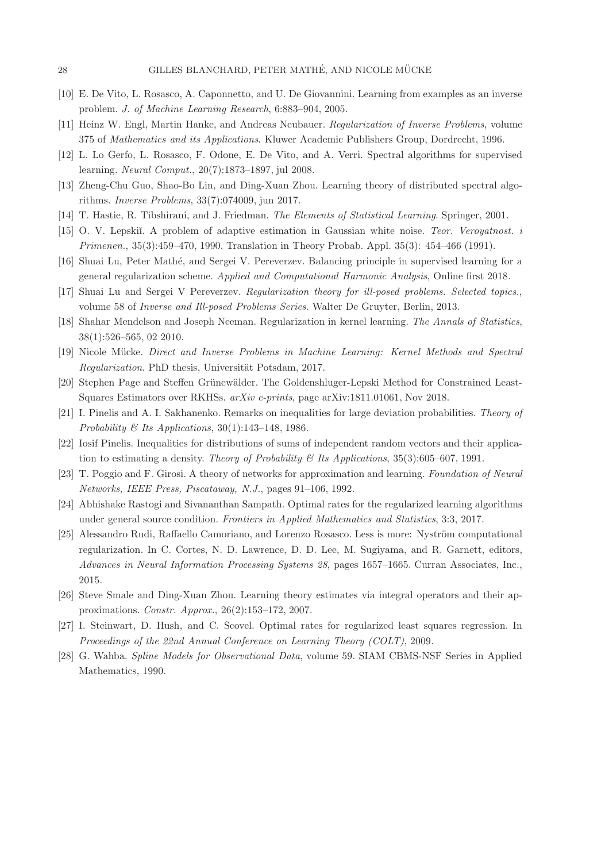- <span id="page-27-10"></span><span id="page-27-3"></span>[10] E. De Vito, L. Rosasco, A. Caponnetto, and U. De Giovannini. Learning from examples as an inverse problem. *J. of Machine Learning Research*, 6:883–904, 2005.
- <span id="page-27-4"></span>[11] Heinz W. Engl, Martin Hanke, and Andreas Neubauer. *Regularization of Inverse Problems*, volume 375 of *Mathematics and its Applications*. Kluwer Academic Publishers Group, Dordrecht, 1996.
- <span id="page-27-14"></span>[12] L. Lo Gerfo, L. Rosasco, F. Odone, E. De Vito, and A. Verri. Spectral algorithms for supervised learning. *Neural Comput.*, 20(7):1873–1897, jul 2008.
- <span id="page-27-13"></span>[13] Zheng-Chu Guo, Shao-Bo Lin, and Ding-Xuan Zhou. Learning theory of distributed spectral algorithms. *Inverse Problems*, 33(7):074009, jun 2017.
- <span id="page-27-5"></span>[14] T. Hastie, R. Tibshirani, and J. Friedman. *The Elements of Statistical Learning*. Springer, 2001.
- <span id="page-27-7"></span>[15] O. V. Lepski˘ı. A problem of adaptive estimation in Gaussian white noise. *Teor. Veroyatnost. i Primenen.*, 35(3):459–470, 1990. Translation in Theory Probab. Appl. 35(3): 454–466 (1991).
- <span id="page-27-6"></span>[16] Shuai Lu, Peter Math´e, and Sergei V. Pereverzev. Balancing principle in supervised learning for a general regularization scheme. *Applied and Computational Harmonic Analysis*, Online first 2018.
- <span id="page-27-2"></span>[17] Shuai Lu and Sergei V Pereverzev. *Regularization theory for ill-posed problems. Selected topics.*, volume 58 of *Inverse and Ill-posed Problems Series*. Walter De Gruyter, Berlin, 2013.
- <span id="page-27-9"></span>[18] Shahar Mendelson and Joseph Neeman. Regularization in kernel learning. *The Annals of Statistics*, 38(1):526–565, 02 2010.
- <span id="page-27-8"></span>[19] Nicole Mücke. *Direct and Inverse Problems in Machine Learning: Kernel Methods and Spectral Regularization*. PhD thesis, Universität Potsdam, 2017.
- <span id="page-27-15"></span>[20] Stephen Page and Steffen Grünewälder. The Goldenshluger-Lepski Method for Constrained Least-Squares Estimators over RKHSs. *arXiv e-prints*, page arXiv:1811.01061, Nov 2018.
- <span id="page-27-16"></span>[21] I. Pinelis and A. I. Sakhanenko. Remarks on inequalities for large deviation probabilities. *Theory of Probability & Its Applications*, 30(1):143–148, 1986.
- <span id="page-27-12"></span>[22] Iosif Pinelis. Inequalities for distributions of sums of independent random vectors and their application to estimating a density. *Theory of Probability & Its Applications*, 35(3):605–607, 1991.
- <span id="page-27-18"></span>[23] T. Poggio and F. Girosi. A theory of networks for approximation and learning. *Foundation of Neural Networks, IEEE Press, Piscataway, N.J.*, pages 91–106, 1992.
- <span id="page-27-17"></span>[24] Abhishake Rastogi and Sivananthan Sampath. Optimal rates for the regularized learning algorithms under general source condition. *Frontiers in Applied Mathematics and Statistics*, 3:3, 2017.
- [25] Alessandro Rudi, Raffaello Camoriano, and Lorenzo Rosasco. Less is more: Nyström computational regularization. In C. Cortes, N. D. Lawrence, D. D. Lee, M. Sugiyama, and R. Garnett, editors, *Advances in Neural Information Processing Systems 28*, pages 1657–1665. Curran Associates, Inc., 2015.
- <span id="page-27-1"></span><span id="page-27-0"></span>[26] Steve Smale and Ding-Xuan Zhou. Learning theory estimates via integral operators and their approximations. *Constr. Approx.*, 26(2):153–172, 2007.
- <span id="page-27-11"></span>[27] I. Steinwart, D. Hush, and C. Scovel. Optimal rates for regularized least squares regression. In *Proceedings of the 22nd Annual Conference on Learning Theory (COLT)*, 2009.
- [28] G. Wahba. *Spline Models for Observational Data*, volume 59. SIAM CBMS-NSF Series in Applied Mathematics, 1990.